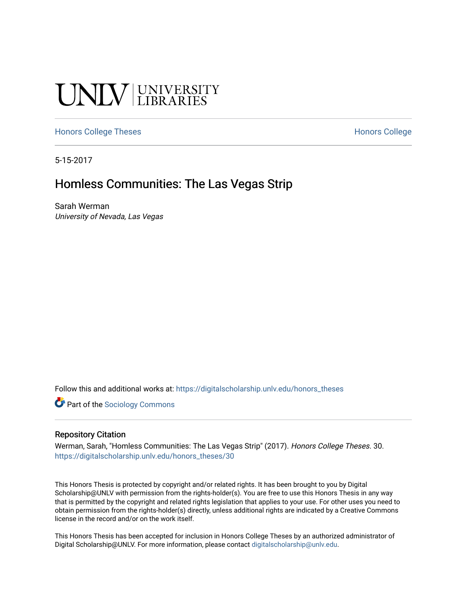# **UNIVERSITY**

#### [Honors College Theses](https://digitalscholarship.unlv.edu/honors_theses) **Honors College** [Honors College](https://digitalscholarship.unlv.edu/honors) Honors College

5-15-2017

## Homless Communities: The Las Vegas Strip

Sarah Werman University of Nevada, Las Vegas

Follow this and additional works at: [https://digitalscholarship.unlv.edu/honors\\_theses](https://digitalscholarship.unlv.edu/honors_theses?utm_source=digitalscholarship.unlv.edu%2Fhonors_theses%2F30&utm_medium=PDF&utm_campaign=PDFCoverPages) 

**Part of the [Sociology Commons](http://network.bepress.com/hgg/discipline/416?utm_source=digitalscholarship.unlv.edu%2Fhonors_theses%2F30&utm_medium=PDF&utm_campaign=PDFCoverPages)** 

#### Repository Citation

Werman, Sarah, "Homless Communities: The Las Vegas Strip" (2017). Honors College Theses. 30. [https://digitalscholarship.unlv.edu/honors\\_theses/30](https://digitalscholarship.unlv.edu/honors_theses/30?utm_source=digitalscholarship.unlv.edu%2Fhonors_theses%2F30&utm_medium=PDF&utm_campaign=PDFCoverPages)

This Honors Thesis is protected by copyright and/or related rights. It has been brought to you by Digital Scholarship@UNLV with permission from the rights-holder(s). You are free to use this Honors Thesis in any way that is permitted by the copyright and related rights legislation that applies to your use. For other uses you need to obtain permission from the rights-holder(s) directly, unless additional rights are indicated by a Creative Commons license in the record and/or on the work itself.

This Honors Thesis has been accepted for inclusion in Honors College Theses by an authorized administrator of Digital Scholarship@UNLV. For more information, please contact [digitalscholarship@unlv.edu](mailto:digitalscholarship@unlv.edu).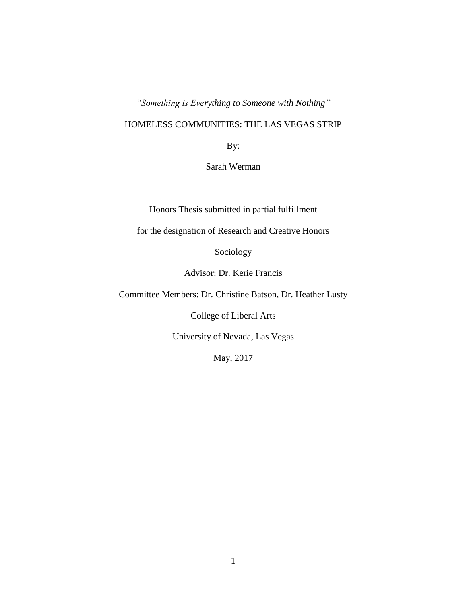*"Something is Everything to Someone with Nothing"*

### HOMELESS COMMUNITIES: THE LAS VEGAS STRIP

By:

Sarah Werman

Honors Thesis submitted in partial fulfillment

for the designation of Research and Creative Honors

Sociology

Advisor: Dr. Kerie Francis

Committee Members: Dr. Christine Batson, Dr. Heather Lusty

College of Liberal Arts

University of Nevada, Las Vegas

May, 2017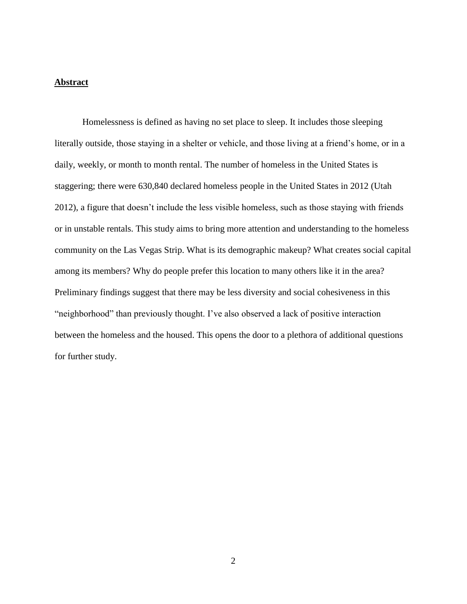#### **Abstract**

Homelessness is defined as having no set place to sleep. It includes those sleeping literally outside, those staying in a shelter or vehicle, and those living at a friend's home, or in a daily, weekly, or month to month rental. The number of homeless in the United States is staggering; there were 630,840 declared homeless people in the United States in 2012 (Utah 2012), a figure that doesn't include the less visible homeless, such as those staying with friends or in unstable rentals. This study aims to bring more attention and understanding to the homeless community on the Las Vegas Strip. What is its demographic makeup? What creates social capital among its members? Why do people prefer this location to many others like it in the area? Preliminary findings suggest that there may be less diversity and social cohesiveness in this "neighborhood" than previously thought. I've also observed a lack of positive interaction between the homeless and the housed. This opens the door to a plethora of additional questions for further study.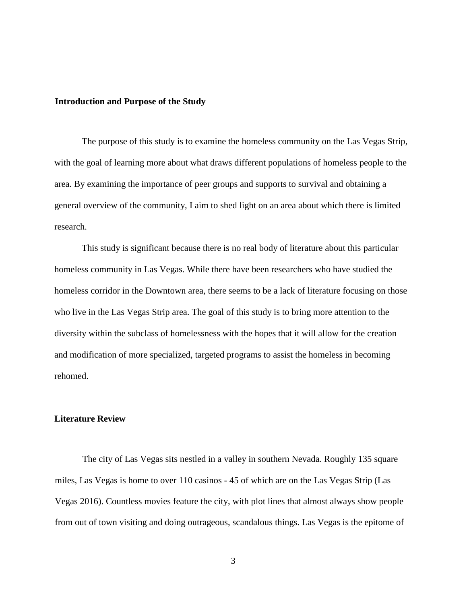#### **Introduction and Purpose of the Study**

The purpose of this study is to examine the homeless community on the Las Vegas Strip, with the goal of learning more about what draws different populations of homeless people to the area. By examining the importance of peer groups and supports to survival and obtaining a general overview of the community, I aim to shed light on an area about which there is limited research.

This study is significant because there is no real body of literature about this particular homeless community in Las Vegas. While there have been researchers who have studied the homeless corridor in the Downtown area, there seems to be a lack of literature focusing on those who live in the Las Vegas Strip area. The goal of this study is to bring more attention to the diversity within the subclass of homelessness with the hopes that it will allow for the creation and modification of more specialized, targeted programs to assist the homeless in becoming rehomed.

#### **Literature Review**

The city of Las Vegas sits nestled in a valley in southern Nevada. Roughly 135 square miles, Las Vegas is home to over 110 casinos - 45 of which are on the Las Vegas Strip (Las Vegas 2016). Countless movies feature the city, with plot lines that almost always show people from out of town visiting and doing outrageous, scandalous things. Las Vegas is the epitome of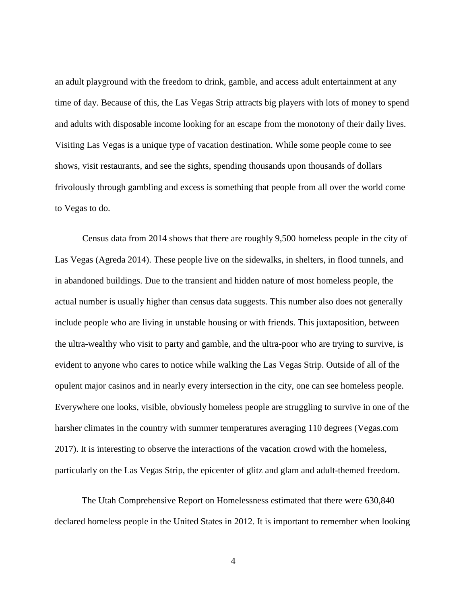an adult playground with the freedom to drink, gamble, and access adult entertainment at any time of day. Because of this, the Las Vegas Strip attracts big players with lots of money to spend and adults with disposable income looking for an escape from the monotony of their daily lives. Visiting Las Vegas is a unique type of vacation destination. While some people come to see shows, visit restaurants, and see the sights, spending thousands upon thousands of dollars frivolously through gambling and excess is something that people from all over the world come to Vegas to do.

Census data from 2014 shows that there are roughly 9,500 homeless people in the city of Las Vegas (Agreda 2014). These people live on the sidewalks, in shelters, in flood tunnels, and in abandoned buildings. Due to the transient and hidden nature of most homeless people, the actual number is usually higher than census data suggests. This number also does not generally include people who are living in unstable housing or with friends. This juxtaposition, between the ultra-wealthy who visit to party and gamble, and the ultra-poor who are trying to survive, is evident to anyone who cares to notice while walking the Las Vegas Strip. Outside of all of the opulent major casinos and in nearly every intersection in the city, one can see homeless people. Everywhere one looks, visible, obviously homeless people are struggling to survive in one of the harsher climates in the country with summer temperatures averaging 110 degrees (Vegas.com 2017). It is interesting to observe the interactions of the vacation crowd with the homeless, particularly on the Las Vegas Strip, the epicenter of glitz and glam and adult-themed freedom.

The Utah Comprehensive Report on Homelessness estimated that there were 630,840 declared homeless people in the United States in 2012. It is important to remember when looking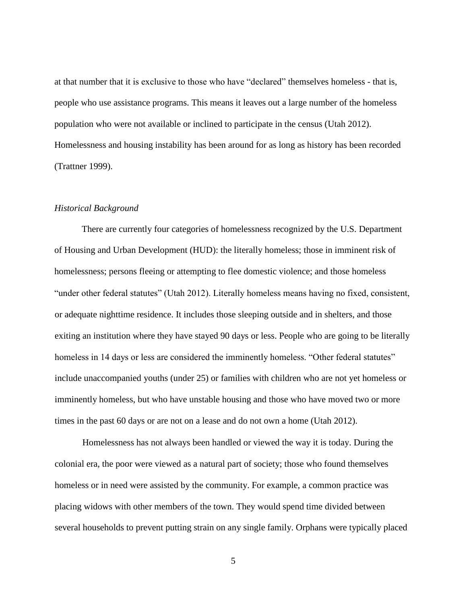at that number that it is exclusive to those who have "declared" themselves homeless - that is, people who use assistance programs. This means it leaves out a large number of the homeless population who were not available or inclined to participate in the census (Utah 2012). Homelessness and housing instability has been around for as long as history has been recorded (Trattner 1999).

#### *Historical Background*

There are currently four categories of homelessness recognized by the U.S. Department of Housing and Urban Development (HUD): the literally homeless; those in imminent risk of homelessness; persons fleeing or attempting to flee domestic violence; and those homeless "under other federal statutes" (Utah 2012). Literally homeless means having no fixed, consistent, or adequate nighttime residence. It includes those sleeping outside and in shelters, and those exiting an institution where they have stayed 90 days or less. People who are going to be literally homeless in 14 days or less are considered the imminently homeless. "Other federal statutes" include unaccompanied youths (under 25) or families with children who are not yet homeless or imminently homeless, but who have unstable housing and those who have moved two or more times in the past 60 days or are not on a lease and do not own a home (Utah 2012).

 Homelessness has not always been handled or viewed the way it is today. During the colonial era, the poor were viewed as a natural part of society; those who found themselves homeless or in need were assisted by the community. For example, a common practice was placing widows with other members of the town. They would spend time divided between several households to prevent putting strain on any single family. Orphans were typically placed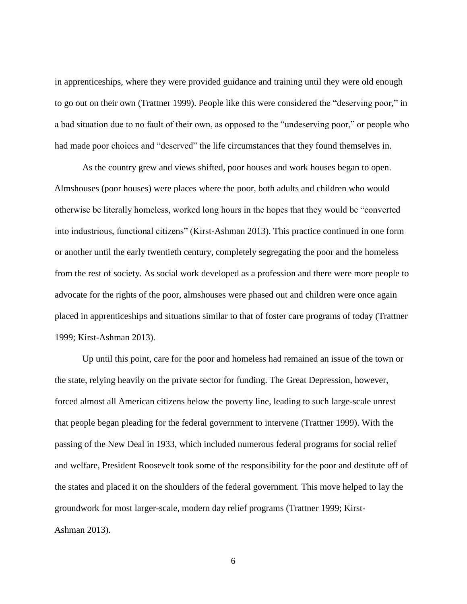in apprenticeships, where they were provided guidance and training until they were old enough to go out on their own (Trattner 1999). People like this were considered the "deserving poor," in a bad situation due to no fault of their own, as opposed to the "undeserving poor," or people who had made poor choices and "deserved" the life circumstances that they found themselves in.

As the country grew and views shifted, poor houses and work houses began to open. Almshouses (poor houses) were places where the poor, both adults and children who would otherwise be literally homeless, worked long hours in the hopes that they would be "converted into industrious, functional citizens" (Kirst-Ashman 2013). This practice continued in one form or another until the early twentieth century, completely segregating the poor and the homeless from the rest of society. As social work developed as a profession and there were more people to advocate for the rights of the poor, almshouses were phased out and children were once again placed in apprenticeships and situations similar to that of foster care programs of today (Trattner 1999; Kirst-Ashman 2013).

Up until this point, care for the poor and homeless had remained an issue of the town or the state, relying heavily on the private sector for funding. The Great Depression, however, forced almost all American citizens below the poverty line, leading to such large-scale unrest that people began pleading for the federal government to intervene (Trattner 1999). With the passing of the New Deal in 1933, which included numerous federal programs for social relief and welfare, President Roosevelt took some of the responsibility for the poor and destitute off of the states and placed it on the shoulders of the federal government. This move helped to lay the groundwork for most larger-scale, modern day relief programs (Trattner 1999; Kirst-Ashman 2013).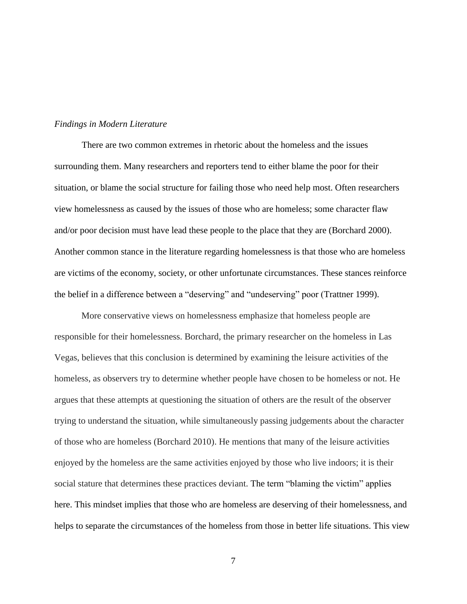#### *Findings in Modern Literature*

There are two common extremes in rhetoric about the homeless and the issues surrounding them. Many researchers and reporters tend to either blame the poor for their situation, or blame the social structure for failing those who need help most. Often researchers view homelessness as caused by the issues of those who are homeless; some character flaw and/or poor decision must have lead these people to the place that they are (Borchard 2000). Another common stance in the literature regarding homelessness is that those who are homeless are victims of the economy, society, or other unfortunate circumstances. These stances reinforce the belief in a difference between a "deserving" and "undeserving" poor (Trattner 1999).

More conservative views on homelessness emphasize that homeless people are responsible for their homelessness. Borchard, the primary researcher on the homeless in Las Vegas, believes that this conclusion is determined by examining the leisure activities of the homeless, as observers try to determine whether people have chosen to be homeless or not. He argues that these attempts at questioning the situation of others are the result of the observer trying to understand the situation, while simultaneously passing judgements about the character of those who are homeless (Borchard 2010). He mentions that many of the leisure activities enjoyed by the homeless are the same activities enjoyed by those who live indoors; it is their social stature that determines these practices deviant. The term "blaming the victim" applies here. This mindset implies that those who are homeless are deserving of their homelessness, and helps to separate the circumstances of the homeless from those in better life situations. This view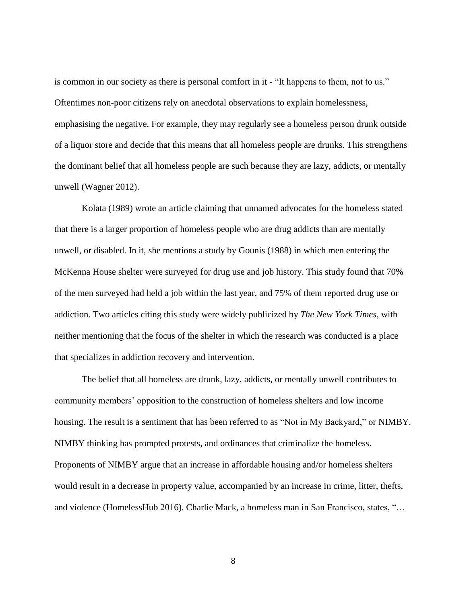is common in our society as there is personal comfort in it - "It happens to them, not to us." Oftentimes non-poor citizens rely on anecdotal observations to explain homelessness, emphasising the negative. For example, they may regularly see a homeless person drunk outside of a liquor store and decide that this means that all homeless people are drunks. This strengthens the dominant belief that all homeless people are such because they are lazy, addicts, or mentally unwell (Wagner 2012).

Kolata (1989) wrote an article claiming that unnamed advocates for the homeless stated that there is a larger proportion of homeless people who are drug addicts than are mentally unwell, or disabled. In it, she mentions a study by Gounis (1988) in which men entering the McKenna House shelter were surveyed for drug use and job history. This study found that 70% of the men surveyed had held a job within the last year, and 75% of them reported drug use or addiction. Two articles citing this study were widely publicized by *The New York Times*, with neither mentioning that the focus of the shelter in which the research was conducted is a place that specializes in addiction recovery and intervention.

The belief that all homeless are drunk, lazy, addicts, or mentally unwell contributes to community members' opposition to the construction of homeless shelters and low income housing. The result is a sentiment that has been referred to as "Not in My Backyard," or NIMBY. NIMBY thinking has prompted protests, and ordinances that criminalize the homeless. Proponents of NIMBY argue that an increase in affordable housing and/or homeless shelters would result in a decrease in property value, accompanied by an increase in crime, litter, thefts, and violence (HomelessHub 2016). Charlie Mack, a homeless man in San Francisco, states, "…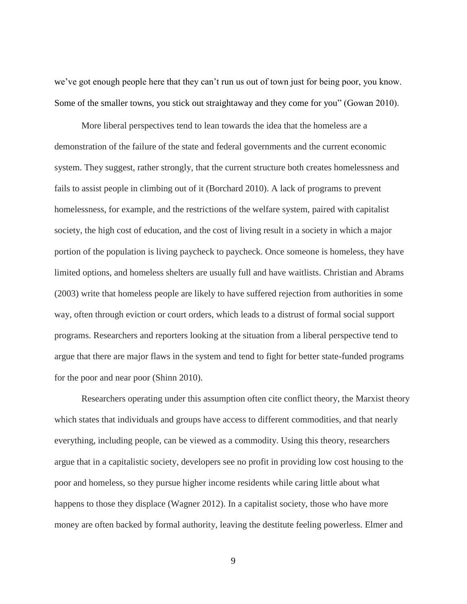we've got enough people here that they can't run us out of town just for being poor, you know. Some of the smaller towns, you stick out straightaway and they come for you" (Gowan 2010).

More liberal perspectives tend to lean towards the idea that the homeless are a demonstration of the failure of the state and federal governments and the current economic system. They suggest, rather strongly, that the current structure both creates homelessness and fails to assist people in climbing out of it (Borchard 2010). A lack of programs to prevent homelessness, for example, and the restrictions of the welfare system, paired with capitalist society, the high cost of education, and the cost of living result in a society in which a major portion of the population is living paycheck to paycheck. Once someone is homeless, they have limited options, and homeless shelters are usually full and have waitlists. Christian and Abrams (2003) write that homeless people are likely to have suffered rejection from authorities in some way, often through eviction or court orders, which leads to a distrust of formal social support programs. Researchers and reporters looking at the situation from a liberal perspective tend to argue that there are major flaws in the system and tend to fight for better state-funded programs for the poor and near poor (Shinn 2010).

Researchers operating under this assumption often cite conflict theory, the Marxist theory which states that individuals and groups have access to different commodities, and that nearly everything, including people, can be viewed as a commodity. Using this theory, researchers argue that in a capitalistic society, developers see no profit in providing low cost housing to the poor and homeless, so they pursue higher income residents while caring little about what happens to those they displace (Wagner 2012). In a capitalist society, those who have more money are often backed by formal authority, leaving the destitute feeling powerless. Elmer and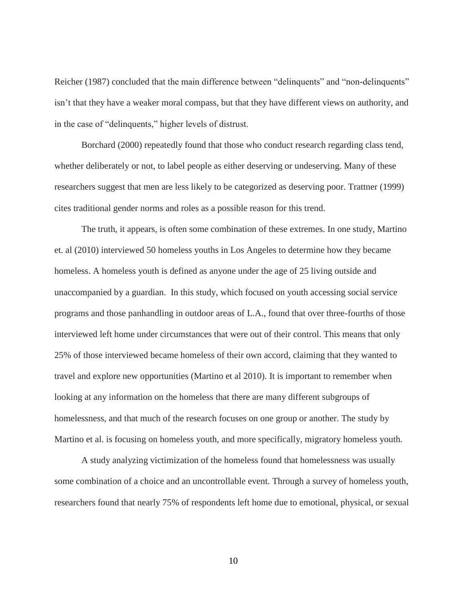Reicher (1987) concluded that the main difference between "delinquents" and "non-delinquents" isn't that they have a weaker moral compass, but that they have different views on authority, and in the case of "delinquents," higher levels of distrust.

Borchard (2000) repeatedly found that those who conduct research regarding class tend, whether deliberately or not, to label people as either deserving or undeserving. Many of these researchers suggest that men are less likely to be categorized as deserving poor. Trattner (1999) cites traditional gender norms and roles as a possible reason for this trend.

The truth, it appears, is often some combination of these extremes. In one study, Martino et. al (2010) interviewed 50 homeless youths in Los Angeles to determine how they became homeless. A homeless youth is defined as anyone under the age of 25 living outside and unaccompanied by a guardian. In this study, which focused on youth accessing social service programs and those panhandling in outdoor areas of L.A., found that over three-fourths of those interviewed left home under circumstances that were out of their control. This means that only 25% of those interviewed became homeless of their own accord, claiming that they wanted to travel and explore new opportunities (Martino et al 2010). It is important to remember when looking at any information on the homeless that there are many different subgroups of homelessness, and that much of the research focuses on one group or another. The study by Martino et al. is focusing on homeless youth, and more specifically, migratory homeless youth.

A study analyzing victimization of the homeless found that homelessness was usually some combination of a choice and an uncontrollable event. Through a survey of homeless youth, researchers found that nearly 75% of respondents left home due to emotional, physical, or sexual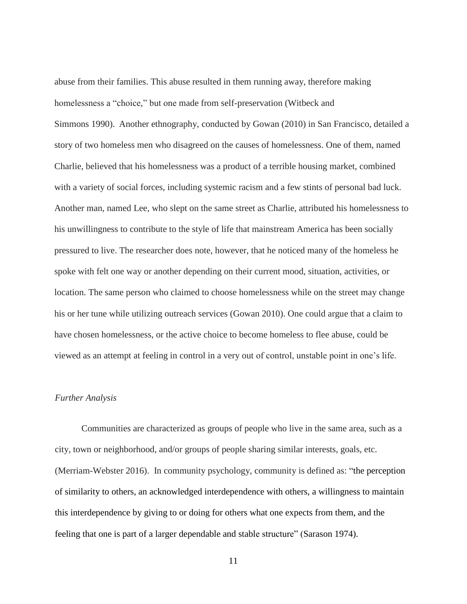abuse from their families. This abuse resulted in them running away, therefore making homelessness a "choice," but one made from self-preservation (Witbeck and Simmons 1990). Another ethnography, conducted by Gowan (2010) in San Francisco, detailed a story of two homeless men who disagreed on the causes of homelessness. One of them, named Charlie, believed that his homelessness was a product of a terrible housing market, combined with a variety of social forces, including systemic racism and a few stints of personal bad luck. Another man, named Lee, who slept on the same street as Charlie, attributed his homelessness to his unwillingness to contribute to the style of life that mainstream America has been socially pressured to live. The researcher does note, however, that he noticed many of the homeless he spoke with felt one way or another depending on their current mood, situation, activities, or location. The same person who claimed to choose homelessness while on the street may change his or her tune while utilizing outreach services (Gowan 2010). One could argue that a claim to have chosen homelessness, or the active choice to become homeless to flee abuse, could be viewed as an attempt at feeling in control in a very out of control, unstable point in one's life.

#### *Further Analysis*

Communities are characterized as groups of people who live in the same area, such as a city, town or neighborhood, and/or groups of people sharing similar interests, goals, etc. (Merriam-Webster 2016). In community psychology, community is defined as: "the perception of similarity to others, an acknowledged interdependence with others, a willingness to maintain this interdependence by giving to or doing for others what one expects from them, and the feeling that one is part of a larger dependable and stable structure" (Sarason 1974).

<sup>11</sup>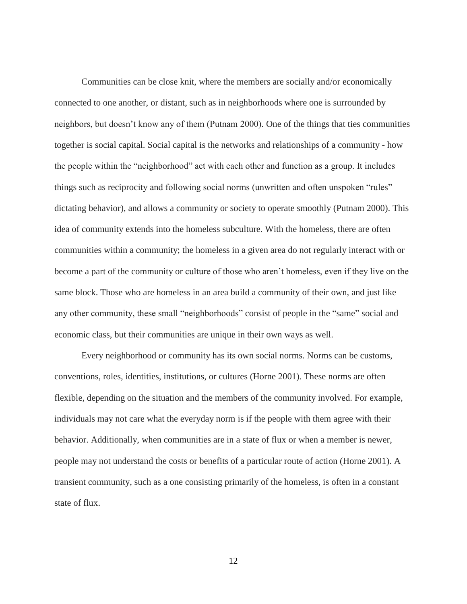Communities can be close knit, where the members are socially and/or economically connected to one another, or distant, such as in neighborhoods where one is surrounded by neighbors, but doesn't know any of them (Putnam 2000). One of the things that ties communities together is social capital. Social capital is the networks and relationships of a community - how the people within the "neighborhood" act with each other and function as a group. It includes things such as reciprocity and following social norms (unwritten and often unspoken "rules" dictating behavior), and allows a community or society to operate smoothly (Putnam 2000). This idea of community extends into the homeless subculture. With the homeless, there are often communities within a community; the homeless in a given area do not regularly interact with or become a part of the community or culture of those who aren't homeless, even if they live on the same block. Those who are homeless in an area build a community of their own, and just like any other community, these small "neighborhoods" consist of people in the "same" social and economic class, but their communities are unique in their own ways as well.

Every neighborhood or community has its own social norms. Norms can be customs, conventions, roles, identities, institutions, or cultures (Horne 2001). These norms are often flexible, depending on the situation and the members of the community involved. For example, individuals may not care what the everyday norm is if the people with them agree with their behavior. Additionally, when communities are in a state of flux or when a member is newer, people may not understand the costs or benefits of a particular route of action (Horne 2001). A transient community, such as a one consisting primarily of the homeless, is often in a constant state of flux.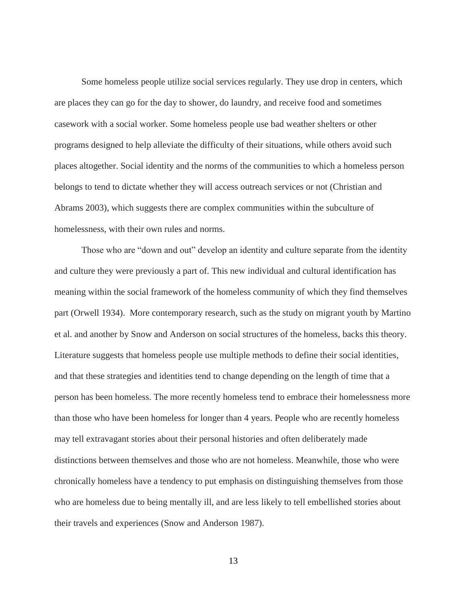Some homeless people utilize social services regularly. They use drop in centers, which are places they can go for the day to shower, do laundry, and receive food and sometimes casework with a social worker. Some homeless people use bad weather shelters or other programs designed to help alleviate the difficulty of their situations, while others avoid such places altogether. Social identity and the norms of the communities to which a homeless person belongs to tend to dictate whether they will access outreach services or not (Christian and Abrams 2003), which suggests there are complex communities within the subculture of homelessness, with their own rules and norms.

Those who are "down and out" develop an identity and culture separate from the identity and culture they were previously a part of. This new individual and cultural identification has meaning within the social framework of the homeless community of which they find themselves part (Orwell 1934). More contemporary research, such as the study on migrant youth by Martino et al. and another by Snow and Anderson on social structures of the homeless, backs this theory. Literature suggests that homeless people use multiple methods to define their social identities, and that these strategies and identities tend to change depending on the length of time that a person has been homeless. The more recently homeless tend to embrace their homelessness more than those who have been homeless for longer than 4 years. People who are recently homeless may tell extravagant stories about their personal histories and often deliberately made distinctions between themselves and those who are not homeless. Meanwhile, those who were chronically homeless have a tendency to put emphasis on distinguishing themselves from those who are homeless due to being mentally ill, and are less likely to tell embellished stories about their travels and experiences (Snow and Anderson 1987).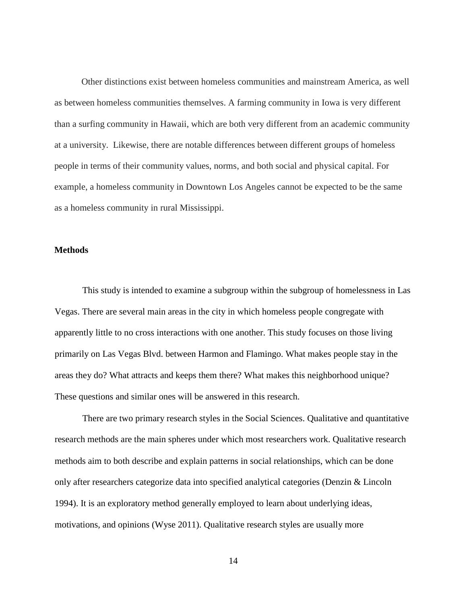Other distinctions exist between homeless communities and mainstream America, as well as between homeless communities themselves. A farming community in Iowa is very different than a surfing community in Hawaii, which are both very different from an academic community at a university. Likewise, there are notable differences between different groups of homeless people in terms of their community values, norms, and both social and physical capital. For example, a homeless community in Downtown Los Angeles cannot be expected to be the same as a homeless community in rural Mississippi.

#### **Methods**

This study is intended to examine a subgroup within the subgroup of homelessness in Las Vegas. There are several main areas in the city in which homeless people congregate with apparently little to no cross interactions with one another. This study focuses on those living primarily on Las Vegas Blvd. between Harmon and Flamingo. What makes people stay in the areas they do? What attracts and keeps them there? What makes this neighborhood unique? These questions and similar ones will be answered in this research.

There are two primary research styles in the Social Sciences. Qualitative and quantitative research methods are the main spheres under which most researchers work. Qualitative research methods aim to both describe and explain patterns in social relationships, which can be done only after researchers categorize data into specified analytical categories (Denzin & Lincoln 1994). It is an exploratory method generally employed to learn about underlying ideas, motivations, and opinions (Wyse 2011). Qualitative research styles are usually more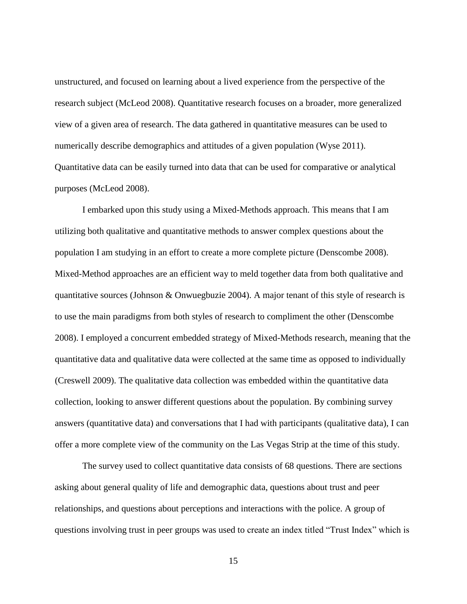unstructured, and focused on learning about a lived experience from the perspective of the research subject (McLeod 2008). Quantitative research focuses on a broader, more generalized view of a given area of research. The data gathered in quantitative measures can be used to numerically describe demographics and attitudes of a given population (Wyse 2011). Quantitative data can be easily turned into data that can be used for comparative or analytical purposes (McLeod 2008).

I embarked upon this study using a Mixed-Methods approach. This means that I am utilizing both qualitative and quantitative methods to answer complex questions about the population I am studying in an effort to create a more complete picture (Denscombe 2008). Mixed-Method approaches are an efficient way to meld together data from both qualitative and quantitative sources (Johnson & Onwuegbuzie 2004). A major tenant of this style of research is to use the main paradigms from both styles of research to compliment the other (Denscombe 2008). I employed a concurrent embedded strategy of Mixed-Methods research, meaning that the quantitative data and qualitative data were collected at the same time as opposed to individually (Creswell 2009). The qualitative data collection was embedded within the quantitative data collection, looking to answer different questions about the population. By combining survey answers (quantitative data) and conversations that I had with participants (qualitative data), I can offer a more complete view of the community on the Las Vegas Strip at the time of this study.

The survey used to collect quantitative data consists of 68 questions. There are sections asking about general quality of life and demographic data, questions about trust and peer relationships, and questions about perceptions and interactions with the police. A group of questions involving trust in peer groups was used to create an index titled "Trust Index" which is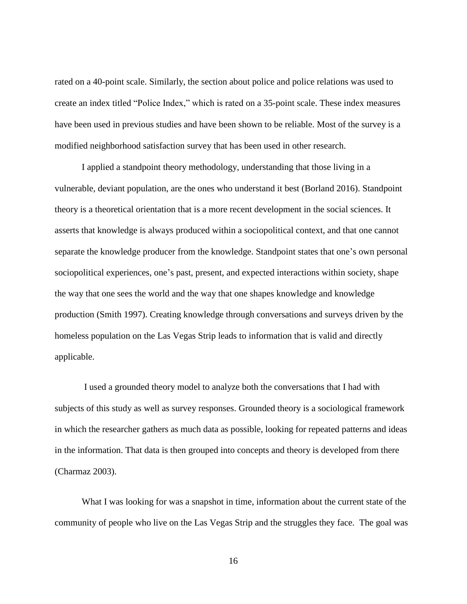rated on a 40-point scale. Similarly, the section about police and police relations was used to create an index titled "Police Index," which is rated on a 35-point scale. These index measures have been used in previous studies and have been shown to be reliable. Most of the survey is a modified neighborhood satisfaction survey that has been used in other research.

I applied a standpoint theory methodology, understanding that those living in a vulnerable, deviant population, are the ones who understand it best (Borland 2016). Standpoint theory is a theoretical orientation that is a more recent development in the social sciences. It asserts that knowledge is always produced within a sociopolitical context, and that one cannot separate the knowledge producer from the knowledge. Standpoint states that one's own personal sociopolitical experiences, one's past, present, and expected interactions within society, shape the way that one sees the world and the way that one shapes knowledge and knowledge production (Smith 1997). Creating knowledge through conversations and surveys driven by the homeless population on the Las Vegas Strip leads to information that is valid and directly applicable.

I used a grounded theory model to analyze both the conversations that I had with subjects of this study as well as survey responses. Grounded theory is a sociological framework in which the researcher gathers as much data as possible, looking for repeated patterns and ideas in the information. That data is then grouped into concepts and theory is developed from there (Charmaz 2003).

What I was looking for was a snapshot in time, information about the current state of the community of people who live on the Las Vegas Strip and the struggles they face. The goal was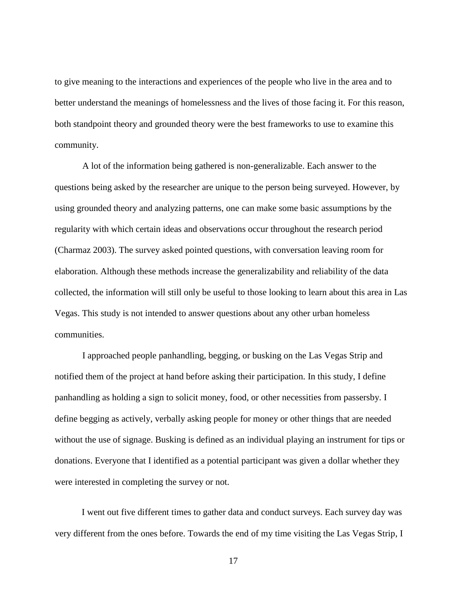to give meaning to the interactions and experiences of the people who live in the area and to better understand the meanings of homelessness and the lives of those facing it. For this reason, both standpoint theory and grounded theory were the best frameworks to use to examine this community.

A lot of the information being gathered is non-generalizable. Each answer to the questions being asked by the researcher are unique to the person being surveyed. However, by using grounded theory and analyzing patterns, one can make some basic assumptions by the regularity with which certain ideas and observations occur throughout the research period (Charmaz 2003). The survey asked pointed questions, with conversation leaving room for elaboration. Although these methods increase the generalizability and reliability of the data collected, the information will still only be useful to those looking to learn about this area in Las Vegas. This study is not intended to answer questions about any other urban homeless communities.

I approached people panhandling, begging, or busking on the Las Vegas Strip and notified them of the project at hand before asking their participation. In this study, I define panhandling as holding a sign to solicit money, food, or other necessities from passersby. I define begging as actively, verbally asking people for money or other things that are needed without the use of signage. Busking is defined as an individual playing an instrument for tips or donations. Everyone that I identified as a potential participant was given a dollar whether they were interested in completing the survey or not.

I went out five different times to gather data and conduct surveys. Each survey day was very different from the ones before. Towards the end of my time visiting the Las Vegas Strip, I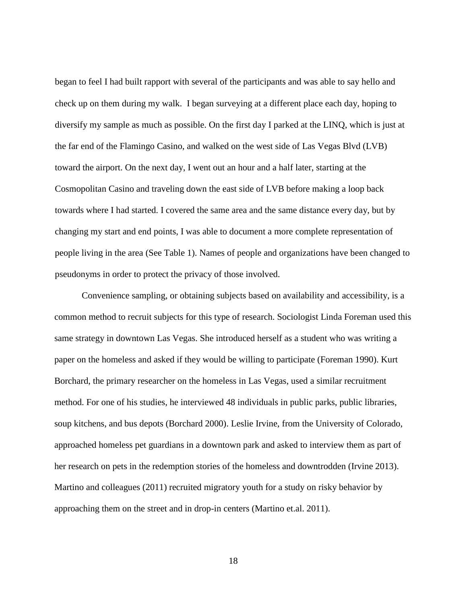began to feel I had built rapport with several of the participants and was able to say hello and check up on them during my walk. I began surveying at a different place each day, hoping to diversify my sample as much as possible. On the first day I parked at the LINQ, which is just at the far end of the Flamingo Casino, and walked on the west side of Las Vegas Blvd (LVB) toward the airport. On the next day, I went out an hour and a half later, starting at the Cosmopolitan Casino and traveling down the east side of LVB before making a loop back towards where I had started. I covered the same area and the same distance every day, but by changing my start and end points, I was able to document a more complete representation of people living in the area (See Table 1). Names of people and organizations have been changed to pseudonyms in order to protect the privacy of those involved.

Convenience sampling, or obtaining subjects based on availability and accessibility, is a common method to recruit subjects for this type of research. Sociologist Linda Foreman used this same strategy in downtown Las Vegas. She introduced herself as a student who was writing a paper on the homeless and asked if they would be willing to participate (Foreman 1990). Kurt Borchard, the primary researcher on the homeless in Las Vegas, used a similar recruitment method. For one of his studies, he interviewed 48 individuals in public parks, public libraries, soup kitchens, and bus depots (Borchard 2000). Leslie Irvine, from the University of Colorado, approached homeless pet guardians in a downtown park and asked to interview them as part of her research on pets in the redemption stories of the homeless and downtrodden (Irvine 2013). Martino and colleagues (2011) recruited migratory youth for a study on risky behavior by approaching them on the street and in drop-in centers (Martino et.al. 2011).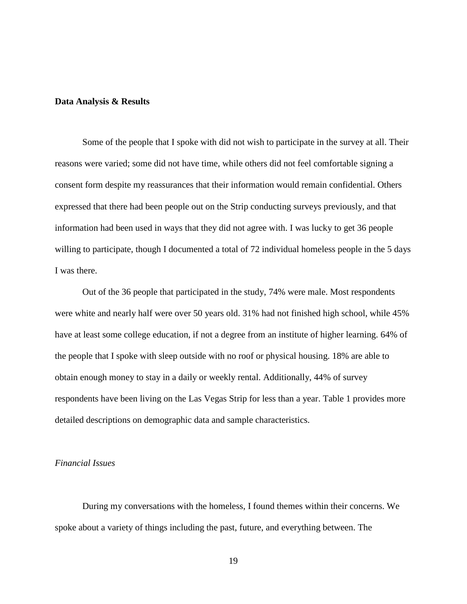#### **Data Analysis & Results**

Some of the people that I spoke with did not wish to participate in the survey at all. Their reasons were varied; some did not have time, while others did not feel comfortable signing a consent form despite my reassurances that their information would remain confidential. Others expressed that there had been people out on the Strip conducting surveys previously, and that information had been used in ways that they did not agree with. I was lucky to get 36 people willing to participate, though I documented a total of 72 individual homeless people in the 5 days I was there.

Out of the 36 people that participated in the study, 74% were male. Most respondents were white and nearly half were over 50 years old. 31% had not finished high school, while 45% have at least some college education, if not a degree from an institute of higher learning. 64% of the people that I spoke with sleep outside with no roof or physical housing. 18% are able to obtain enough money to stay in a daily or weekly rental. Additionally, 44% of survey respondents have been living on the Las Vegas Strip for less than a year. Table 1 provides more detailed descriptions on demographic data and sample characteristics.

#### *Financial Issues*

During my conversations with the homeless, I found themes within their concerns. We spoke about a variety of things including the past, future, and everything between. The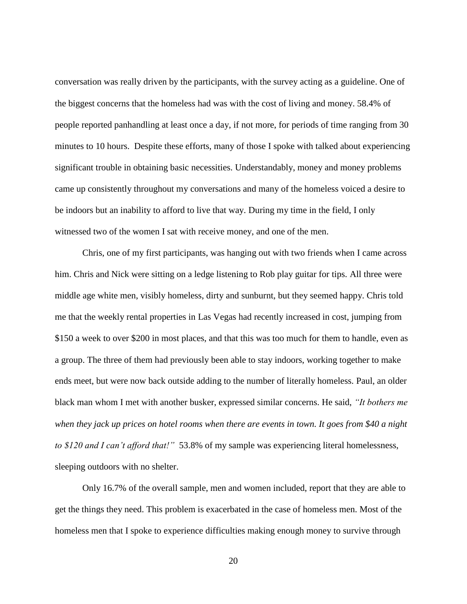conversation was really driven by the participants, with the survey acting as a guideline. One of the biggest concerns that the homeless had was with the cost of living and money. 58.4% of people reported panhandling at least once a day, if not more, for periods of time ranging from 30 minutes to 10 hours. Despite these efforts, many of those I spoke with talked about experiencing significant trouble in obtaining basic necessities. Understandably, money and money problems came up consistently throughout my conversations and many of the homeless voiced a desire to be indoors but an inability to afford to live that way. During my time in the field, I only witnessed two of the women I sat with receive money, and one of the men.

Chris, one of my first participants, was hanging out with two friends when I came across him. Chris and Nick were sitting on a ledge listening to Rob play guitar for tips. All three were middle age white men, visibly homeless, dirty and sunburnt, but they seemed happy. Chris told me that the weekly rental properties in Las Vegas had recently increased in cost, jumping from \$150 a week to over \$200 in most places, and that this was too much for them to handle, even as a group. The three of them had previously been able to stay indoors, working together to make ends meet, but were now back outside adding to the number of literally homeless. Paul, an older black man whom I met with another busker, expressed similar concerns. He said, *"It bothers me when they jack up prices on hotel rooms when there are events in town. It goes from \$40 a night to \$120 and I can't afford that!"* 53.8% of my sample was experiencing literal homelessness, sleeping outdoors with no shelter.

Only 16.7% of the overall sample, men and women included, report that they are able to get the things they need. This problem is exacerbated in the case of homeless men. Most of the homeless men that I spoke to experience difficulties making enough money to survive through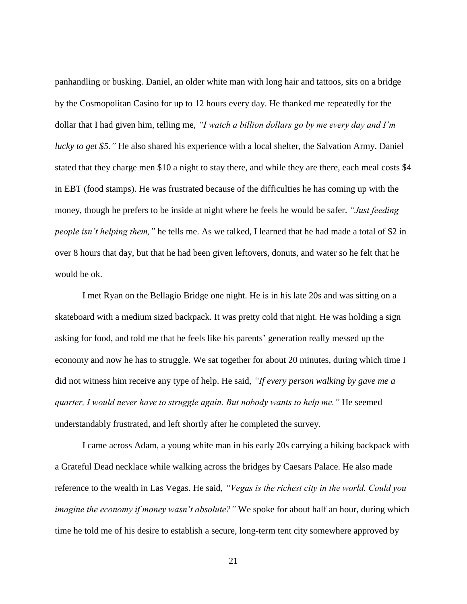panhandling or busking. Daniel, an older white man with long hair and tattoos, sits on a bridge by the Cosmopolitan Casino for up to 12 hours every day. He thanked me repeatedly for the dollar that I had given him, telling me, *"I watch a billion dollars go by me every day and I'm lucky to get \$5."* He also shared his experience with a local shelter, the Salvation Army. Daniel stated that they charge men \$10 a night to stay there, and while they are there, each meal costs \$4 in EBT (food stamps). He was frustrated because of the difficulties he has coming up with the money, though he prefers to be inside at night where he feels he would be safer. *"Just feeding people isn't helping them,"* he tells me. As we talked, I learned that he had made a total of \$2 in over 8 hours that day, but that he had been given leftovers, donuts, and water so he felt that he would be ok.

I met Ryan on the Bellagio Bridge one night. He is in his late 20s and was sitting on a skateboard with a medium sized backpack. It was pretty cold that night. He was holding a sign asking for food, and told me that he feels like his parents' generation really messed up the economy and now he has to struggle. We sat together for about 20 minutes, during which time I did not witness him receive any type of help. He said, *"If every person walking by gave me a quarter, I would never have to struggle again. But nobody wants to help me."* He seemed understandably frustrated, and left shortly after he completed the survey.

I came across Adam, a young white man in his early 20s carrying a hiking backpack with a Grateful Dead necklace while walking across the bridges by Caesars Palace. He also made reference to the wealth in Las Vegas. He said*, "Vegas is the richest city in the world. Could you imagine the economy if money wasn't absolute?"* We spoke for about half an hour, during which time he told me of his desire to establish a secure, long-term tent city somewhere approved by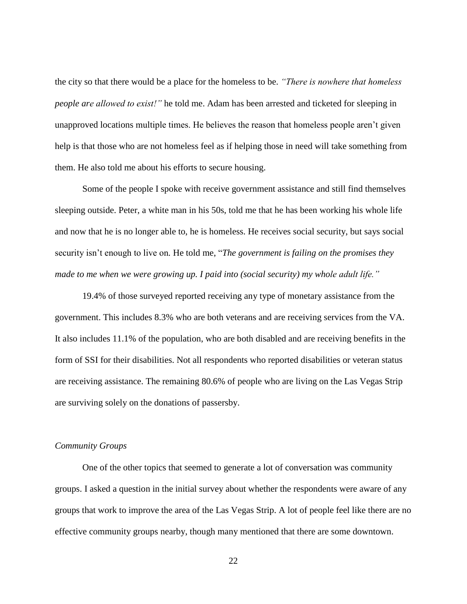the city so that there would be a place for the homeless to be. *"There is nowhere that homeless people are allowed to exist!"* he told me. Adam has been arrested and ticketed for sleeping in unapproved locations multiple times. He believes the reason that homeless people aren't given help is that those who are not homeless feel as if helping those in need will take something from them. He also told me about his efforts to secure housing.

Some of the people I spoke with receive government assistance and still find themselves sleeping outside. Peter, a white man in his 50s, told me that he has been working his whole life and now that he is no longer able to, he is homeless. He receives social security, but says social security isn't enough to live on. He told me, "*The government is failing on the promises they made to me when we were growing up. I paid into (social security) my whole adult life."*

19.4% of those surveyed reported receiving any type of monetary assistance from the government. This includes 8.3% who are both veterans and are receiving services from the VA. It also includes 11.1% of the population, who are both disabled and are receiving benefits in the form of SSI for their disabilities. Not all respondents who reported disabilities or veteran status are receiving assistance. The remaining 80.6% of people who are living on the Las Vegas Strip are surviving solely on the donations of passersby.

#### *Community Groups*

One of the other topics that seemed to generate a lot of conversation was community groups. I asked a question in the initial survey about whether the respondents were aware of any groups that work to improve the area of the Las Vegas Strip. A lot of people feel like there are no effective community groups nearby, though many mentioned that there are some downtown.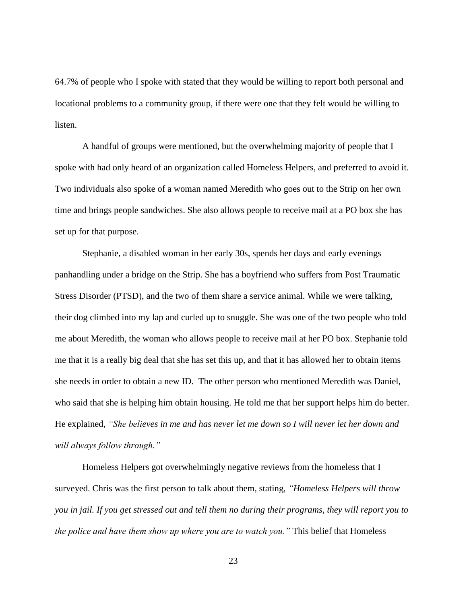64.7% of people who I spoke with stated that they would be willing to report both personal and locational problems to a community group, if there were one that they felt would be willing to listen.

A handful of groups were mentioned, but the overwhelming majority of people that I spoke with had only heard of an organization called Homeless Helpers, and preferred to avoid it. Two individuals also spoke of a woman named Meredith who goes out to the Strip on her own time and brings people sandwiches. She also allows people to receive mail at a PO box she has set up for that purpose.

Stephanie, a disabled woman in her early 30s, spends her days and early evenings panhandling under a bridge on the Strip. She has a boyfriend who suffers from Post Traumatic Stress Disorder (PTSD), and the two of them share a service animal. While we were talking, their dog climbed into my lap and curled up to snuggle. She was one of the two people who told me about Meredith, the woman who allows people to receive mail at her PO box. Stephanie told me that it is a really big deal that she has set this up, and that it has allowed her to obtain items she needs in order to obtain a new ID. The other person who mentioned Meredith was Daniel, who said that she is helping him obtain housing. He told me that her support helps him do better. He explained, *"She believes in me and has never let me down so I will never let her down and will always follow through."*

Homeless Helpers got overwhelmingly negative reviews from the homeless that I surveyed. Chris was the first person to talk about them, stating, *"Homeless Helpers will throw you in jail. If you get stressed out and tell them no during their programs, they will report you to the police and have them show up where you are to watch you."* This belief that Homeless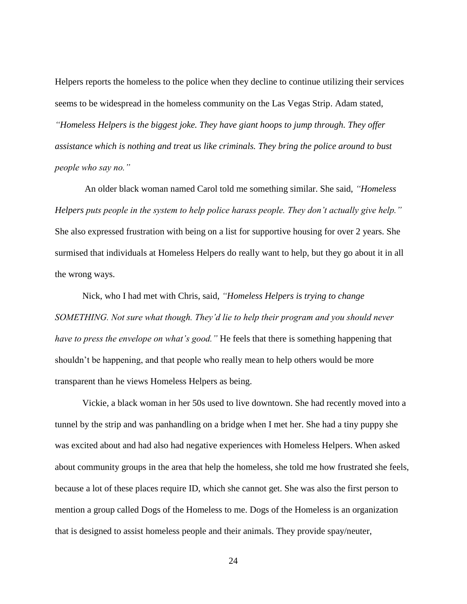Helpers reports the homeless to the police when they decline to continue utilizing their services seems to be widespread in the homeless community on the Las Vegas Strip. Adam stated, *"Homeless Helpers is the biggest joke. They have giant hoops to jump through. They offer assistance which is nothing and treat us like criminals. They bring the police around to bust people who say no."* 

An older black woman named Carol told me something similar. She said, *"Homeless Helpers puts people in the system to help police harass people. They don't actually give help."*  She also expressed frustration with being on a list for supportive housing for over 2 years. She surmised that individuals at Homeless Helpers do really want to help, but they go about it in all the wrong ways.

Nick, who I had met with Chris, said, *"Homeless Helpers is trying to change SOMETHING. Not sure what though. They'd lie to help their program and you should never have to press the envelope on what's good.*" He feels that there is something happening that shouldn't be happening, and that people who really mean to help others would be more transparent than he views Homeless Helpers as being.

Vickie, a black woman in her 50s used to live downtown. She had recently moved into a tunnel by the strip and was panhandling on a bridge when I met her. She had a tiny puppy she was excited about and had also had negative experiences with Homeless Helpers. When asked about community groups in the area that help the homeless, she told me how frustrated she feels, because a lot of these places require ID, which she cannot get. She was also the first person to mention a group called Dogs of the Homeless to me. Dogs of the Homeless is an organization that is designed to assist homeless people and their animals. They provide spay/neuter,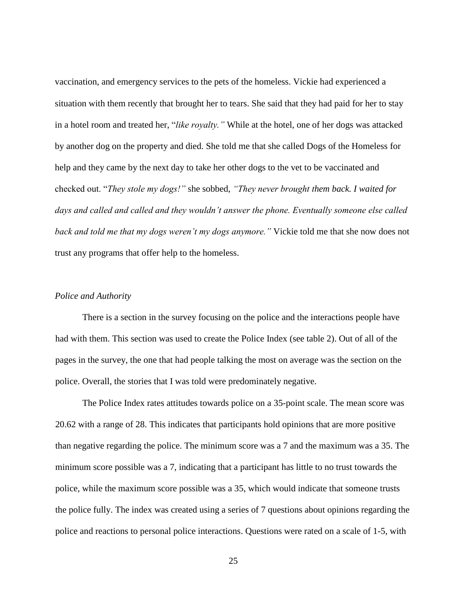vaccination, and emergency services to the pets of the homeless. Vickie had experienced a situation with them recently that brought her to tears. She said that they had paid for her to stay in a hotel room and treated her, "*like royalty."* While at the hotel, one of her dogs was attacked by another dog on the property and died. She told me that she called Dogs of the Homeless for help and they came by the next day to take her other dogs to the vet to be vaccinated and checked out. "*They stole my dogs!"* she sobbed, *"They never brought them back. I waited for days and called and called and they wouldn't answer the phone. Eventually someone else called back and told me that my dogs weren't my dogs anymore."* Vickie told me that she now does not trust any programs that offer help to the homeless.

#### *Police and Authority*

There is a section in the survey focusing on the police and the interactions people have had with them. This section was used to create the Police Index (see table 2). Out of all of the pages in the survey, the one that had people talking the most on average was the section on the police. Overall, the stories that I was told were predominately negative.

The Police Index rates attitudes towards police on a 35-point scale. The mean score was 20.62 with a range of 28. This indicates that participants hold opinions that are more positive than negative regarding the police. The minimum score was a 7 and the maximum was a 35. The minimum score possible was a 7, indicating that a participant has little to no trust towards the police, while the maximum score possible was a 35, which would indicate that someone trusts the police fully. The index was created using a series of 7 questions about opinions regarding the police and reactions to personal police interactions. Questions were rated on a scale of 1-5, with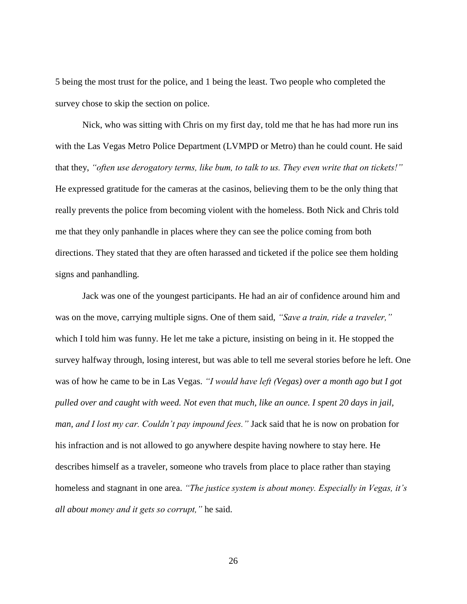5 being the most trust for the police, and 1 being the least. Two people who completed the survey chose to skip the section on police.

Nick, who was sitting with Chris on my first day, told me that he has had more run ins with the Las Vegas Metro Police Department (LVMPD or Metro) than he could count. He said that they, *"often use derogatory terms, like bum, to talk to us. They even write that on tickets!"* He expressed gratitude for the cameras at the casinos, believing them to be the only thing that really prevents the police from becoming violent with the homeless. Both Nick and Chris told me that they only panhandle in places where they can see the police coming from both directions. They stated that they are often harassed and ticketed if the police see them holding signs and panhandling.

Jack was one of the youngest participants. He had an air of confidence around him and was on the move, carrying multiple signs. One of them said, *"Save a train, ride a traveler,"* which I told him was funny. He let me take a picture, insisting on being in it. He stopped the survey halfway through, losing interest, but was able to tell me several stories before he left. One was of how he came to be in Las Vegas. *"I would have left (Vegas) over a month ago but I got pulled over and caught with weed. Not even that much, like an ounce. I spent 20 days in jail, man, and I lost my car. Couldn't pay impound fees."* Jack said that he is now on probation for his infraction and is not allowed to go anywhere despite having nowhere to stay here. He describes himself as a traveler, someone who travels from place to place rather than staying homeless and stagnant in one area. *"The justice system is about money. Especially in Vegas, it's all about money and it gets so corrupt,"* he said.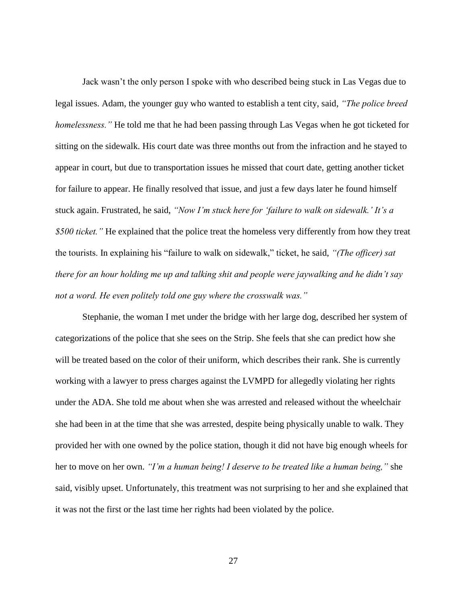Jack wasn't the only person I spoke with who described being stuck in Las Vegas due to legal issues. Adam, the younger guy who wanted to establish a tent city, said, *"The police breed homelessness."* He told me that he had been passing through Las Vegas when he got ticketed for sitting on the sidewalk. His court date was three months out from the infraction and he stayed to appear in court, but due to transportation issues he missed that court date, getting another ticket for failure to appear. He finally resolved that issue, and just a few days later he found himself stuck again. Frustrated, he said, *"Now I'm stuck here for 'failure to walk on sidewalk.' It's a \$500 ticket."* He explained that the police treat the homeless very differently from how they treat the tourists. In explaining his "failure to walk on sidewalk," ticket, he said, *"(The officer) sat there for an hour holding me up and talking shit and people were jaywalking and he didn't say not a word. He even politely told one guy where the crosswalk was."*

Stephanie, the woman I met under the bridge with her large dog, described her system of categorizations of the police that she sees on the Strip. She feels that she can predict how she will be treated based on the color of their uniform, which describes their rank. She is currently working with a lawyer to press charges against the LVMPD for allegedly violating her rights under the ADA. She told me about when she was arrested and released without the wheelchair she had been in at the time that she was arrested, despite being physically unable to walk. They provided her with one owned by the police station, though it did not have big enough wheels for her to move on her own. *"I'm a human being! I deserve to be treated like a human being,"* she said, visibly upset. Unfortunately, this treatment was not surprising to her and she explained that it was not the first or the last time her rights had been violated by the police.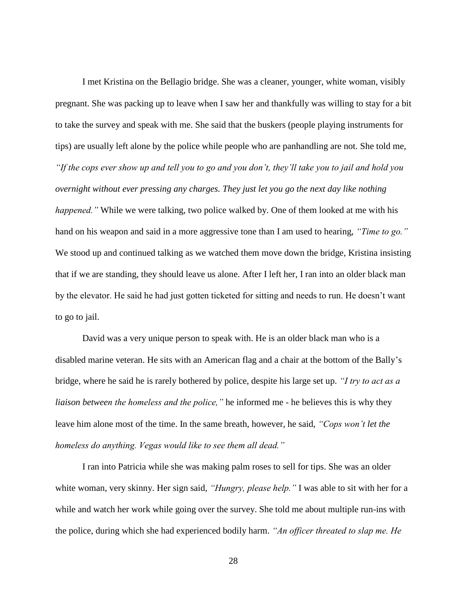I met Kristina on the Bellagio bridge. She was a cleaner, younger, white woman, visibly pregnant. She was packing up to leave when I saw her and thankfully was willing to stay for a bit to take the survey and speak with me. She said that the buskers (people playing instruments for tips) are usually left alone by the police while people who are panhandling are not. She told me, *"If the cops ever show up and tell you to go and you don't, they'll take you to jail and hold you overnight without ever pressing any charges. They just let you go the next day like nothing happened.*" While we were talking, two police walked by. One of them looked at me with his hand on his weapon and said in a more aggressive tone than I am used to hearing, *"Time to go."* We stood up and continued talking as we watched them move down the bridge, Kristina insisting that if we are standing, they should leave us alone. After I left her, I ran into an older black man by the elevator. He said he had just gotten ticketed for sitting and needs to run. He doesn't want to go to jail.

David was a very unique person to speak with. He is an older black man who is a disabled marine veteran. He sits with an American flag and a chair at the bottom of the Bally's bridge, where he said he is rarely bothered by police, despite his large set up. *"I try to act as a liaison between the homeless and the police,"* he informed me - he believes this is why they leave him alone most of the time. In the same breath, however, he said, *"Cops won't let the homeless do anything. Vegas would like to see them all dead."*

I ran into Patricia while she was making palm roses to sell for tips. She was an older white woman, very skinny. Her sign said, *"Hungry, please help."* I was able to sit with her for a while and watch her work while going over the survey. She told me about multiple run-ins with the police, during which she had experienced bodily harm. *"An officer threated to slap me. He*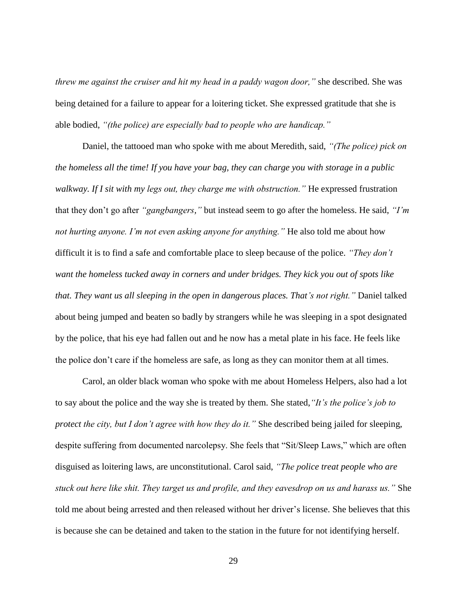*threw me against the cruiser and hit my head in a paddy wagon door,"* she described. She was being detained for a failure to appear for a loitering ticket. She expressed gratitude that she is able bodied, *"(the police) are especially bad to people who are handicap."*

Daniel, the tattooed man who spoke with me about Meredith, said, *"(The police) pick on the homeless all the time! If you have your bag, they can charge you with storage in a public walkway. If I sit with my legs out, they charge me with obstruction."* He expressed frustration that they don't go after *"gangbangers,"* but instead seem to go after the homeless. He said, *"I'm not hurting anyone. I'm not even asking anyone for anything."* He also told me about how difficult it is to find a safe and comfortable place to sleep because of the police. *"They don't want the homeless tucked away in corners and under bridges. They kick you out of spots like that. They want us all sleeping in the open in dangerous places. That's not right."* Daniel talked about being jumped and beaten so badly by strangers while he was sleeping in a spot designated by the police, that his eye had fallen out and he now has a metal plate in his face. He feels like the police don't care if the homeless are safe, as long as they can monitor them at all times.

Carol, an older black woman who spoke with me about Homeless Helpers, also had a lot to say about the police and the way she is treated by them. She stated,*"It's the police's job to protect the city, but I don't agree with how they do it."* She described being jailed for sleeping, despite suffering from documented narcolepsy. She feels that "Sit/Sleep Laws," which are often disguised as loitering laws, are unconstitutional. Carol said, *"The police treat people who are stuck out here like shit. They target us and profile, and they eavesdrop on us and harass us."* She told me about being arrested and then released without her driver's license. She believes that this is because she can be detained and taken to the station in the future for not identifying herself.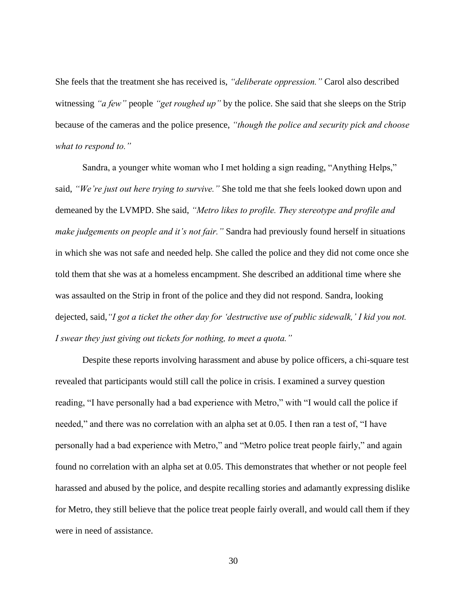She feels that the treatment she has received is, *"deliberate oppression."* Carol also described witnessing *"a few"* people *"get roughed up"* by the police. She said that she sleeps on the Strip because of the cameras and the police presence, *"though the police and security pick and choose what to respond to."* 

Sandra, a younger white woman who I met holding a sign reading, "Anything Helps," said, *"We're just out here trying to survive."* She told me that she feels looked down upon and demeaned by the LVMPD. She said, *"Metro likes to profile. They stereotype and profile and make judgements on people and it's not fair."* Sandra had previously found herself in situations in which she was not safe and needed help. She called the police and they did not come once she told them that she was at a homeless encampment. She described an additional time where she was assaulted on the Strip in front of the police and they did not respond. Sandra, looking dejected, said,*"I got a ticket the other day for 'destructive use of public sidewalk,' I kid you not. I swear they just giving out tickets for nothing, to meet a quota."* 

Despite these reports involving harassment and abuse by police officers, a chi-square test revealed that participants would still call the police in crisis. I examined a survey question reading, "I have personally had a bad experience with Metro," with "I would call the police if needed," and there was no correlation with an alpha set at 0.05. I then ran a test of, "I have personally had a bad experience with Metro," and "Metro police treat people fairly," and again found no correlation with an alpha set at 0.05. This demonstrates that whether or not people feel harassed and abused by the police, and despite recalling stories and adamantly expressing dislike for Metro, they still believe that the police treat people fairly overall, and would call them if they were in need of assistance.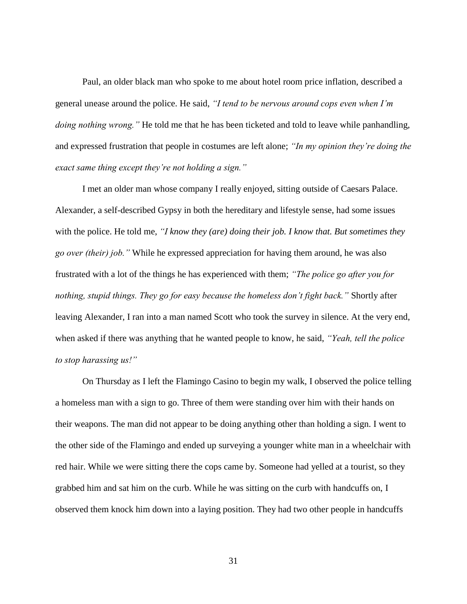Paul, an older black man who spoke to me about hotel room price inflation, described a general unease around the police. He said, *"I tend to be nervous around cops even when I'm doing nothing wrong."* He told me that he has been ticketed and told to leave while panhandling, and expressed frustration that people in costumes are left alone; *"In my opinion they're doing the exact same thing except they're not holding a sign."*

I met an older man whose company I really enjoyed, sitting outside of Caesars Palace. Alexander, a self-described Gypsy in both the hereditary and lifestyle sense, had some issues with the police. He told me, *"I know they (are) doing their job. I know that. But sometimes they go over (their) job."* While he expressed appreciation for having them around, he was also frustrated with a lot of the things he has experienced with them; *"The police go after you for nothing, stupid things. They go for easy because the homeless don't fight back."* Shortly after leaving Alexander, I ran into a man named Scott who took the survey in silence. At the very end, when asked if there was anything that he wanted people to know, he said, *"Yeah, tell the police to stop harassing us!"*

On Thursday as I left the Flamingo Casino to begin my walk, I observed the police telling a homeless man with a sign to go. Three of them were standing over him with their hands on their weapons. The man did not appear to be doing anything other than holding a sign. I went to the other side of the Flamingo and ended up surveying a younger white man in a wheelchair with red hair. While we were sitting there the cops came by. Someone had yelled at a tourist, so they grabbed him and sat him on the curb. While he was sitting on the curb with handcuffs on, I observed them knock him down into a laying position. They had two other people in handcuffs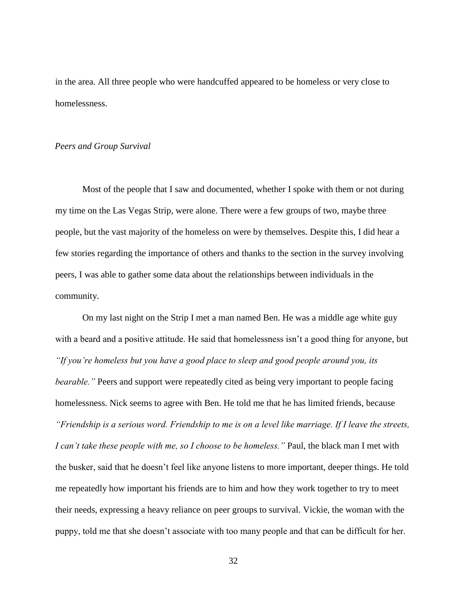in the area. All three people who were handcuffed appeared to be homeless or very close to homelessness.

#### *Peers and Group Survival*

Most of the people that I saw and documented, whether I spoke with them or not during my time on the Las Vegas Strip, were alone. There were a few groups of two, maybe three people, but the vast majority of the homeless on were by themselves. Despite this, I did hear a few stories regarding the importance of others and thanks to the section in the survey involving peers, I was able to gather some data about the relationships between individuals in the community.

On my last night on the Strip I met a man named Ben. He was a middle age white guy with a beard and a positive attitude. He said that homelessness isn't a good thing for anyone, but *"If you're homeless but you have a good place to sleep and good people around you, its bearable.*" Peers and support were repeatedly cited as being very important to people facing homelessness. Nick seems to agree with Ben. He told me that he has limited friends, because *"Friendship is a serious word. Friendship to me is on a level like marriage. If I leave the streets, I can't take these people with me, so I choose to be homeless."* Paul, the black man I met with the busker, said that he doesn't feel like anyone listens to more important, deeper things. He told me repeatedly how important his friends are to him and how they work together to try to meet their needs, expressing a heavy reliance on peer groups to survival. Vickie, the woman with the puppy, told me that she doesn't associate with too many people and that can be difficult for her.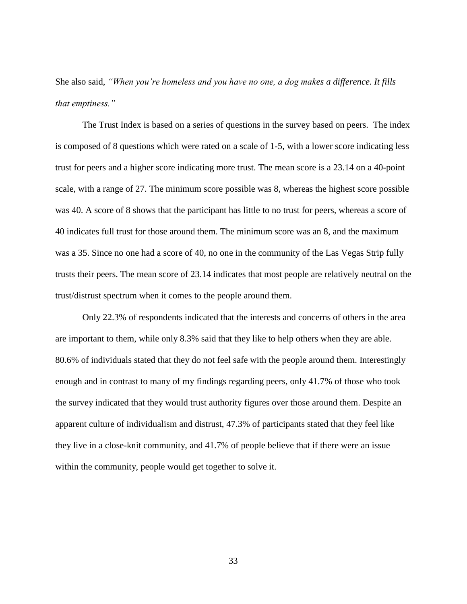She also said, *"When you're homeless and you have no one, a dog makes a difference. It fills that emptiness."* 

The Trust Index is based on a series of questions in the survey based on peers. The index is composed of 8 questions which were rated on a scale of 1-5, with a lower score indicating less trust for peers and a higher score indicating more trust. The mean score is a 23.14 on a 40-point scale, with a range of 27. The minimum score possible was 8, whereas the highest score possible was 40. A score of 8 shows that the participant has little to no trust for peers, whereas a score of 40 indicates full trust for those around them. The minimum score was an 8, and the maximum was a 35. Since no one had a score of 40, no one in the community of the Las Vegas Strip fully trusts their peers. The mean score of 23.14 indicates that most people are relatively neutral on the trust/distrust spectrum when it comes to the people around them.

Only 22.3% of respondents indicated that the interests and concerns of others in the area are important to them, while only 8.3% said that they like to help others when they are able. 80.6% of individuals stated that they do not feel safe with the people around them. Interestingly enough and in contrast to many of my findings regarding peers, only 41.7% of those who took the survey indicated that they would trust authority figures over those around them. Despite an apparent culture of individualism and distrust, 47.3% of participants stated that they feel like they live in a close-knit community, and 41.7% of people believe that if there were an issue within the community, people would get together to solve it.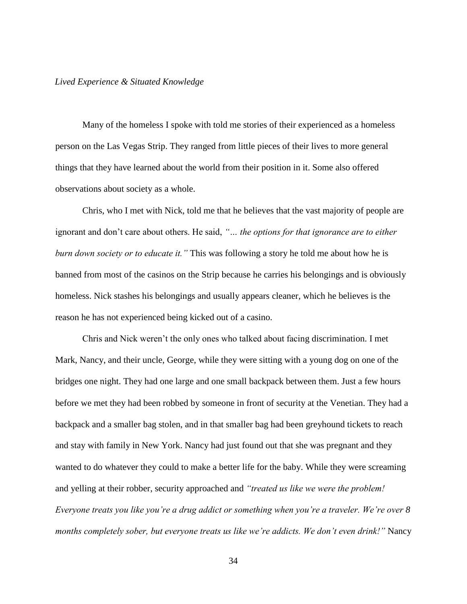#### *Lived Experience & Situated Knowledge*

Many of the homeless I spoke with told me stories of their experienced as a homeless person on the Las Vegas Strip. They ranged from little pieces of their lives to more general things that they have learned about the world from their position in it. Some also offered observations about society as a whole.

Chris, who I met with Nick, told me that he believes that the vast majority of people are ignorant and don't care about others. He said, *"… the options for that ignorance are to either burn down society or to educate it."* This was following a story he told me about how he is banned from most of the casinos on the Strip because he carries his belongings and is obviously homeless. Nick stashes his belongings and usually appears cleaner, which he believes is the reason he has not experienced being kicked out of a casino.

Chris and Nick weren't the only ones who talked about facing discrimination. I met Mark, Nancy, and their uncle, George, while they were sitting with a young dog on one of the bridges one night. They had one large and one small backpack between them. Just a few hours before we met they had been robbed by someone in front of security at the Venetian. They had a backpack and a smaller bag stolen, and in that smaller bag had been greyhound tickets to reach and stay with family in New York. Nancy had just found out that she was pregnant and they wanted to do whatever they could to make a better life for the baby. While they were screaming and yelling at their robber, security approached and *"treated us like we were the problem! Everyone treats you like you're a drug addict or something when you're a traveler. We're over 8 months completely sober, but everyone treats us like we're addicts. We don't even drink!"* Nancy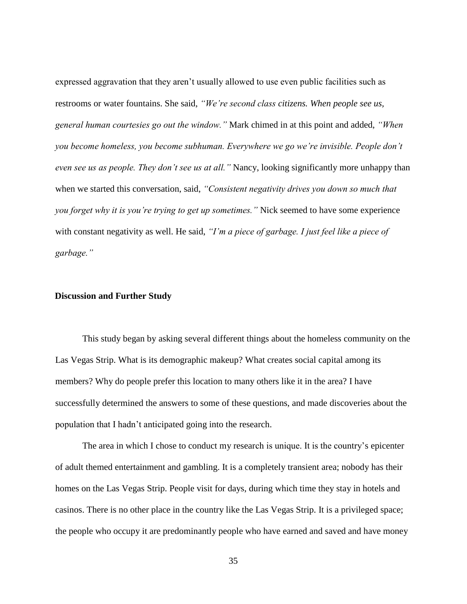expressed aggravation that they aren't usually allowed to use even public facilities such as restrooms or water fountains. She said, *"We're second class citizens. When people see us, general human courtesies go out the window."* Mark chimed in at this point and added, *"When you become homeless, you become subhuman. Everywhere we go we're invisible. People don't even see us as people. They don't see us at all."* Nancy, looking significantly more unhappy than when we started this conversation, said, *"Consistent negativity drives you down so much that you forget why it is you're trying to get up sometimes."* Nick seemed to have some experience with constant negativity as well. He said, *"I'm a piece of garbage. I just feel like a piece of garbage."*

#### **Discussion and Further Study**

This study began by asking several different things about the homeless community on the Las Vegas Strip. What is its demographic makeup? What creates social capital among its members? Why do people prefer this location to many others like it in the area? I have successfully determined the answers to some of these questions, and made discoveries about the population that I hadn't anticipated going into the research.

The area in which I chose to conduct my research is unique. It is the country's epicenter of adult themed entertainment and gambling. It is a completely transient area; nobody has their homes on the Las Vegas Strip. People visit for days, during which time they stay in hotels and casinos. There is no other place in the country like the Las Vegas Strip. It is a privileged space; the people who occupy it are predominantly people who have earned and saved and have money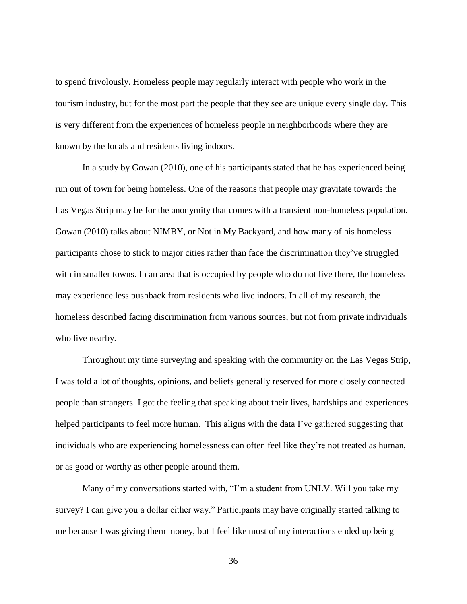to spend frivolously. Homeless people may regularly interact with people who work in the tourism industry, but for the most part the people that they see are unique every single day. This is very different from the experiences of homeless people in neighborhoods where they are known by the locals and residents living indoors.

In a study by Gowan (2010), one of his participants stated that he has experienced being run out of town for being homeless. One of the reasons that people may gravitate towards the Las Vegas Strip may be for the anonymity that comes with a transient non-homeless population. Gowan (2010) talks about NIMBY, or Not in My Backyard, and how many of his homeless participants chose to stick to major cities rather than face the discrimination they've struggled with in smaller towns. In an area that is occupied by people who do not live there, the homeless may experience less pushback from residents who live indoors. In all of my research, the homeless described facing discrimination from various sources, but not from private individuals who live nearby.

Throughout my time surveying and speaking with the community on the Las Vegas Strip, I was told a lot of thoughts, opinions, and beliefs generally reserved for more closely connected people than strangers. I got the feeling that speaking about their lives, hardships and experiences helped participants to feel more human. This aligns with the data I've gathered suggesting that individuals who are experiencing homelessness can often feel like they're not treated as human, or as good or worthy as other people around them.

Many of my conversations started with, "I'm a student from UNLV. Will you take my survey? I can give you a dollar either way." Participants may have originally started talking to me because I was giving them money, but I feel like most of my interactions ended up being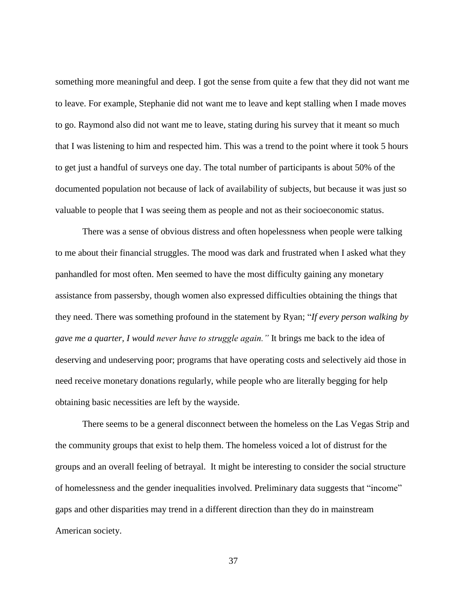something more meaningful and deep. I got the sense from quite a few that they did not want me to leave. For example, Stephanie did not want me to leave and kept stalling when I made moves to go. Raymond also did not want me to leave, stating during his survey that it meant so much that I was listening to him and respected him. This was a trend to the point where it took 5 hours to get just a handful of surveys one day. The total number of participants is about 50% of the documented population not because of lack of availability of subjects, but because it was just so valuable to people that I was seeing them as people and not as their socioeconomic status.

There was a sense of obvious distress and often hopelessness when people were talking to me about their financial struggles. The mood was dark and frustrated when I asked what they panhandled for most often. Men seemed to have the most difficulty gaining any monetary assistance from passersby, though women also expressed difficulties obtaining the things that they need. There was something profound in the statement by Ryan; "*If every person walking by gave me a quarter, I would never have to struggle again."* It brings me back to the idea of deserving and undeserving poor; programs that have operating costs and selectively aid those in need receive monetary donations regularly, while people who are literally begging for help obtaining basic necessities are left by the wayside.

There seems to be a general disconnect between the homeless on the Las Vegas Strip and the community groups that exist to help them. The homeless voiced a lot of distrust for the groups and an overall feeling of betrayal. It might be interesting to consider the social structure of homelessness and the gender inequalities involved. Preliminary data suggests that "income" gaps and other disparities may trend in a different direction than they do in mainstream American society.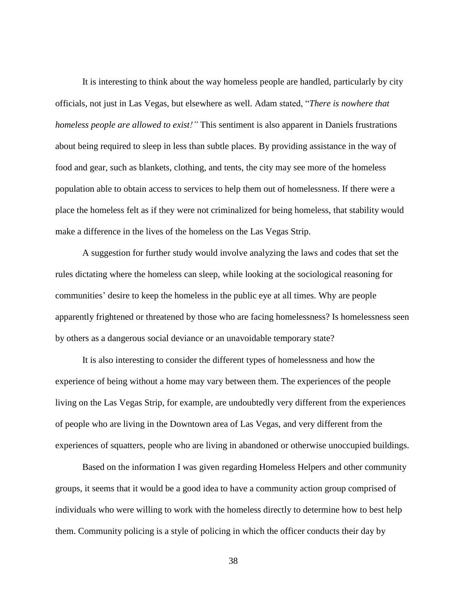It is interesting to think about the way homeless people are handled, particularly by city officials, not just in Las Vegas, but elsewhere as well. Adam stated, "*There is nowhere that homeless people are allowed to exist!"* This sentiment is also apparent in Daniels frustrations about being required to sleep in less than subtle places. By providing assistance in the way of food and gear, such as blankets, clothing, and tents, the city may see more of the homeless population able to obtain access to services to help them out of homelessness. If there were a place the homeless felt as if they were not criminalized for being homeless, that stability would make a difference in the lives of the homeless on the Las Vegas Strip.

A suggestion for further study would involve analyzing the laws and codes that set the rules dictating where the homeless can sleep, while looking at the sociological reasoning for communities' desire to keep the homeless in the public eye at all times. Why are people apparently frightened or threatened by those who are facing homelessness? Is homelessness seen by others as a dangerous social deviance or an unavoidable temporary state?

It is also interesting to consider the different types of homelessness and how the experience of being without a home may vary between them. The experiences of the people living on the Las Vegas Strip, for example, are undoubtedly very different from the experiences of people who are living in the Downtown area of Las Vegas, and very different from the experiences of squatters, people who are living in abandoned or otherwise unoccupied buildings.

Based on the information I was given regarding Homeless Helpers and other community groups, it seems that it would be a good idea to have a community action group comprised of individuals who were willing to work with the homeless directly to determine how to best help them. Community policing is a style of policing in which the officer conducts their day by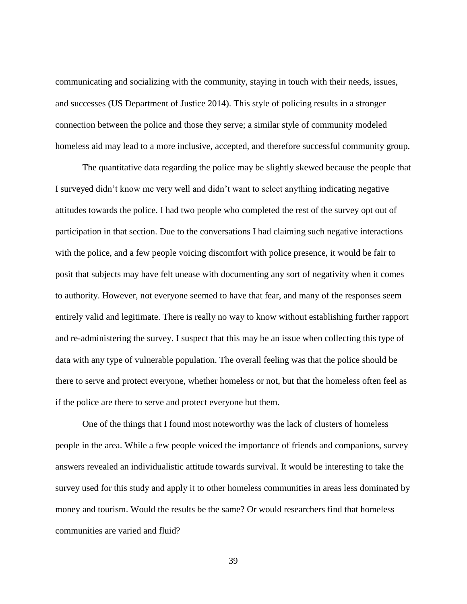communicating and socializing with the community, staying in touch with their needs, issues, and successes (US Department of Justice 2014). This style of policing results in a stronger connection between the police and those they serve; a similar style of community modeled homeless aid may lead to a more inclusive, accepted, and therefore successful community group.

The quantitative data regarding the police may be slightly skewed because the people that I surveyed didn't know me very well and didn't want to select anything indicating negative attitudes towards the police. I had two people who completed the rest of the survey opt out of participation in that section. Due to the conversations I had claiming such negative interactions with the police, and a few people voicing discomfort with police presence, it would be fair to posit that subjects may have felt unease with documenting any sort of negativity when it comes to authority. However, not everyone seemed to have that fear, and many of the responses seem entirely valid and legitimate. There is really no way to know without establishing further rapport and re-administering the survey. I suspect that this may be an issue when collecting this type of data with any type of vulnerable population. The overall feeling was that the police should be there to serve and protect everyone, whether homeless or not, but that the homeless often feel as if the police are there to serve and protect everyone but them.

One of the things that I found most noteworthy was the lack of clusters of homeless people in the area. While a few people voiced the importance of friends and companions, survey answers revealed an individualistic attitude towards survival. It would be interesting to take the survey used for this study and apply it to other homeless communities in areas less dominated by money and tourism. Would the results be the same? Or would researchers find that homeless communities are varied and fluid?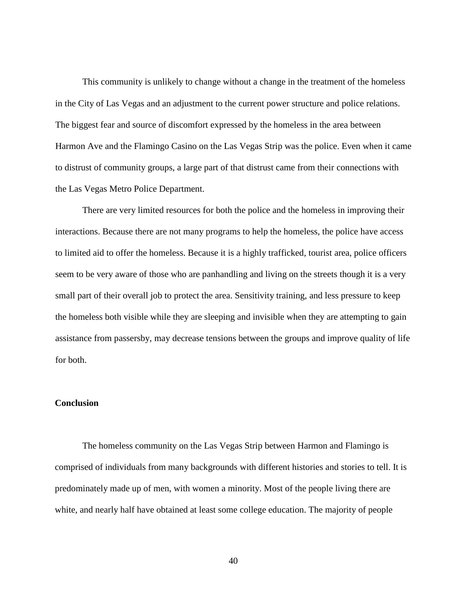This community is unlikely to change without a change in the treatment of the homeless in the City of Las Vegas and an adjustment to the current power structure and police relations. The biggest fear and source of discomfort expressed by the homeless in the area between Harmon Ave and the Flamingo Casino on the Las Vegas Strip was the police. Even when it came to distrust of community groups, a large part of that distrust came from their connections with the Las Vegas Metro Police Department.

There are very limited resources for both the police and the homeless in improving their interactions. Because there are not many programs to help the homeless, the police have access to limited aid to offer the homeless. Because it is a highly trafficked, tourist area, police officers seem to be very aware of those who are panhandling and living on the streets though it is a very small part of their overall job to protect the area. Sensitivity training, and less pressure to keep the homeless both visible while they are sleeping and invisible when they are attempting to gain assistance from passersby, may decrease tensions between the groups and improve quality of life for both.

#### **Conclusion**

The homeless community on the Las Vegas Strip between Harmon and Flamingo is comprised of individuals from many backgrounds with different histories and stories to tell. It is predominately made up of men, with women a minority. Most of the people living there are white, and nearly half have obtained at least some college education. The majority of people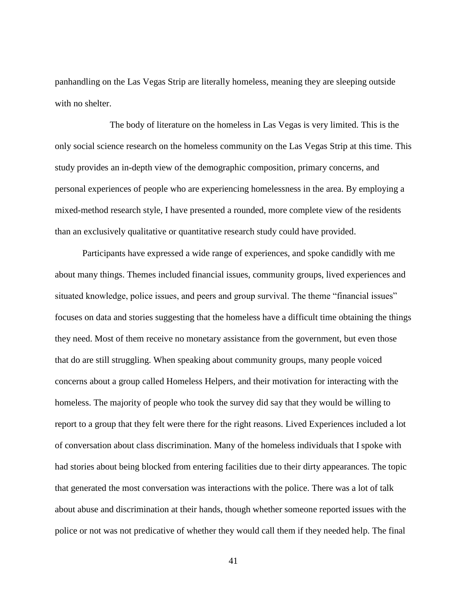panhandling on the Las Vegas Strip are literally homeless, meaning they are sleeping outside with no shelter.

The body of literature on the homeless in Las Vegas is very limited. This is the only social science research on the homeless community on the Las Vegas Strip at this time. This study provides an in-depth view of the demographic composition, primary concerns, and personal experiences of people who are experiencing homelessness in the area. By employing a mixed-method research style, I have presented a rounded, more complete view of the residents than an exclusively qualitative or quantitative research study could have provided.

Participants have expressed a wide range of experiences, and spoke candidly with me about many things. Themes included financial issues, community groups, lived experiences and situated knowledge, police issues, and peers and group survival. The theme "financial issues" focuses on data and stories suggesting that the homeless have a difficult time obtaining the things they need. Most of them receive no monetary assistance from the government, but even those that do are still struggling. When speaking about community groups, many people voiced concerns about a group called Homeless Helpers, and their motivation for interacting with the homeless. The majority of people who took the survey did say that they would be willing to report to a group that they felt were there for the right reasons. Lived Experiences included a lot of conversation about class discrimination. Many of the homeless individuals that I spoke with had stories about being blocked from entering facilities due to their dirty appearances. The topic that generated the most conversation was interactions with the police. There was a lot of talk about abuse and discrimination at their hands, though whether someone reported issues with the police or not was not predicative of whether they would call them if they needed help. The final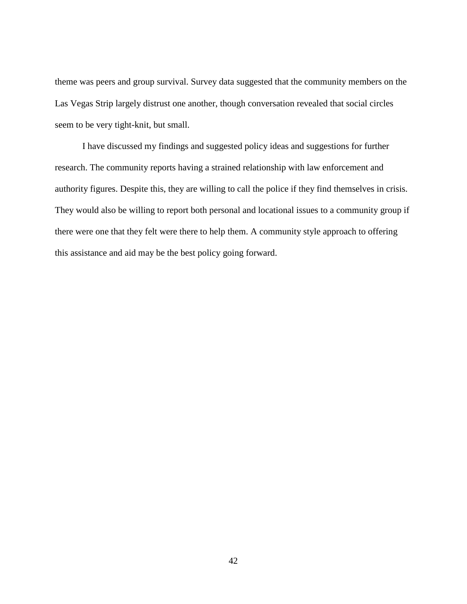theme was peers and group survival. Survey data suggested that the community members on the Las Vegas Strip largely distrust one another, though conversation revealed that social circles seem to be very tight-knit, but small.

I have discussed my findings and suggested policy ideas and suggestions for further research. The community reports having a strained relationship with law enforcement and authority figures. Despite this, they are willing to call the police if they find themselves in crisis. They would also be willing to report both personal and locational issues to a community group if there were one that they felt were there to help them. A community style approach to offering this assistance and aid may be the best policy going forward.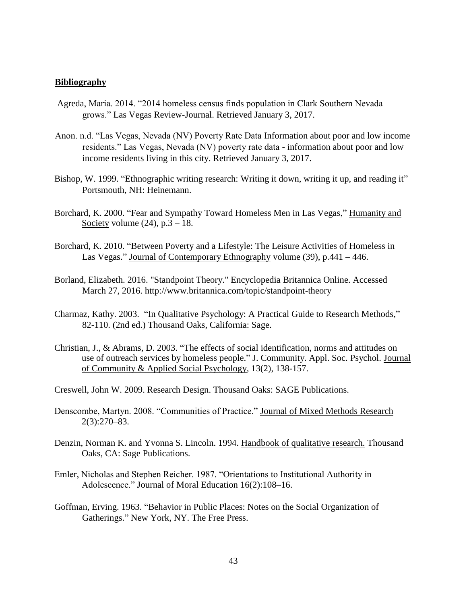#### **Bibliography**

- Agreda, Maria. 2014. "2014 homeless census finds population in Clark Southern Nevada grows." Las Vegas Review-Journal. Retrieved January 3, 2017.
- Anon. n.d. "Las Vegas, Nevada (NV) Poverty Rate Data Information about poor and low income residents." Las Vegas, Nevada (NV) poverty rate data - information about poor and low income residents living in this city. Retrieved January 3, 2017.
- Bishop, W. 1999. "Ethnographic writing research: Writing it down, writing it up, and reading it" Portsmouth, NH: Heinemann.
- Borchard, K. 2000. "Fear and Sympathy Toward Homeless Men in Las Vegas," Humanity and Society volume  $(24)$ , p. $3 - 18$ .
- Borchard, K. 2010. "Between Poverty and a Lifestyle: The Leisure Activities of Homeless in Las Vegas." Journal of Contemporary Ethnography volume (39), p.441 – 446.
- Borland, Elizabeth. 2016. "Standpoint Theory." Encyclopedia Britannica Online. Accessed March 27, 2016.<http://www.britannica.com/topic/standpoint-theory>
- Charmaz, Kathy. 2003. "In Qualitative Psychology: A Practical Guide to Research Methods," 82-110. (2nd ed.) Thousand Oaks, California: Sage.
- Christian, J., & Abrams, D. 2003. "The effects of social identification, norms and attitudes on use of outreach services by homeless people." J. Community. Appl. Soc. Psychol. Journal of Community & Applied Social Psychology, 13(2), 138-157.

Creswell, John W. 2009. Research Design. Thousand Oaks: SAGE Publications.

- Denscombe, Martyn. 2008. "Communities of Practice." Journal of Mixed Methods Research 2(3):270–83.
- Denzin, Norman K. and Yvonna S. Lincoln. 1994. Handbook of qualitative research. Thousand Oaks, CA: Sage Publications.
- Emler, Nicholas and Stephen Reicher. 1987. "Orientations to Institutional Authority in Adolescence." Journal of Moral Education 16(2):108–16.
- Goffman, Erving. 1963. "Behavior in Public Places: Notes on the Social Organization of Gatherings." New York, NY. The Free Press.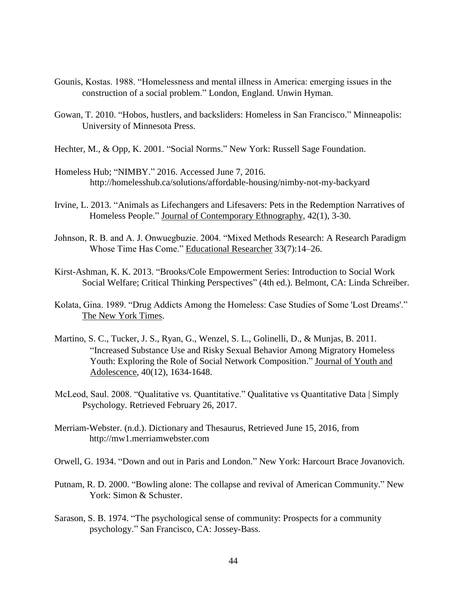- Gounis, Kostas. 1988. "Homelessness and mental illness in America: emerging issues in the construction of a social problem." London, England. Unwin Hyman.
- Gowan, T. 2010. "Hobos, hustlers, and backsliders: Homeless in San Francisco." Minneapolis: University of Minnesota Press.
- Hechter, M., & Opp, K. 2001. "Social Norms." New York: Russell Sage Foundation.
- Homeless Hub; "NIMBY." 2016. Accessed June 7, 2016. <http://homelesshub.ca/solutions/affordable-housing/nimby-not-my-backyard>
- Irvine, L. 2013. "Animals as Lifechangers and Lifesavers: Pets in the Redemption Narratives of Homeless People." Journal of Contemporary Ethnography, 42(1), 3-30.
- Johnson, R. B. and A. J. Onwuegbuzie. 2004. "Mixed Methods Research: A Research Paradigm Whose Time Has Come." Educational Researcher 33(7):14–26.
- Kirst-Ashman, K. K. 2013. "Brooks/Cole Empowerment Series: Introduction to Social Work Social Welfare; Critical Thinking Perspectives" (4th ed.). Belmont, CA: Linda Schreiber.
- Kolata, Gina. 1989. "Drug Addicts Among the Homeless: Case Studies of Some 'Lost Dreams'." The New York Times.
- Martino, S. C., Tucker, J. S., Ryan, G., Wenzel, S. L., Golinelli, D., & Munjas, B. 2011. "Increased Substance Use and Risky Sexual Behavior Among Migratory Homeless Youth: Exploring the Role of Social Network Composition." Journal of Youth and Adolescence, 40(12), 1634-1648.
- McLeod, Saul. 2008. "Qualitative vs. Quantitative." Qualitative vs Quantitative Data | Simply Psychology. Retrieved February 26, 2017.
- Merriam-Webster. (n.d.). Dictionary and Thesaurus, Retrieved June 15, 2016, from [http://mw1.merriamwebster.com](http://mw1.merriamwebster.com/)
- Orwell, G. 1934. "Down and out in Paris and London." New York: Harcourt Brace Jovanovich.
- Putnam, R. D. 2000. "Bowling alone: The collapse and revival of American Community." New York: Simon & Schuster.
- Sarason, S. B. 1974. "The psychological sense of community: Prospects for a community psychology." San Francisco, CA: Jossey-Bass.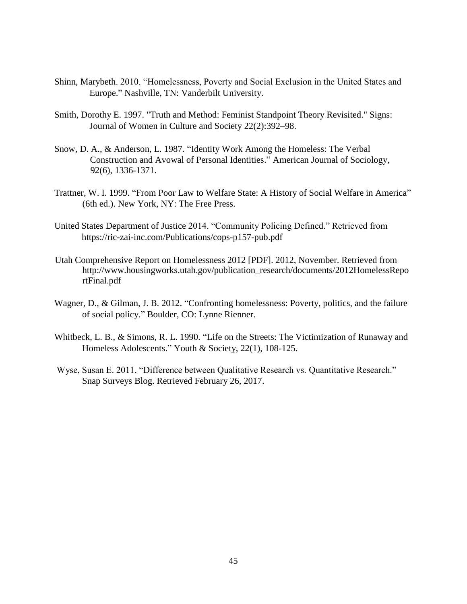- Shinn, Marybeth. 2010. "Homelessness, Poverty and Social Exclusion in the United States and Europe." Nashville, TN: Vanderbilt University.
- Smith, Dorothy E. 1997. "Truth and Method: Feminist Standpoint Theory Revisited." Signs: Journal of Women in Culture and Society 22(2):392–98.
- Snow, D. A., & Anderson, L. 1987. "Identity Work Among the Homeless: The Verbal Construction and Avowal of Personal Identities." American Journal of Sociology, 92(6), 1336-1371.
- Trattner, W. I. 1999. "From Poor Law to Welfare State: A History of Social Welfare in America" (6th ed.). New York, NY: The Free Press.
- United States Department of Justice 2014. "Community Policing Defined." Retrieved from https://ric-zai-inc.com/Publications/cops-p157-pub.pdf
- Utah Comprehensive Report on Homelessness 2012 [PDF]. 2012, November. Retrieved from [http://www.housingworks.utah.gov/publication\\_research/documents/2012HomelessRepo](http://www.housingworks.utah.gov/publication_research/documents/2012HomelessReportFinal.pdf)  [rtFinal.pdf](http://www.housingworks.utah.gov/publication_research/documents/2012HomelessReportFinal.pdf)
- Wagner, D., & Gilman, J. B. 2012. "Confronting homelessness: Poverty, politics, and the failure of social policy." Boulder, CO: Lynne Rienner.
- Whitbeck, L. B., & Simons, R. L. 1990. "Life on the Streets: The Victimization of Runaway and Homeless Adolescents." Youth & Society, 22(1), 108-125.
- Wyse, Susan E. 2011. "Difference between Qualitative Research vs. Quantitative Research." Snap Surveys Blog. Retrieved February 26, 2017.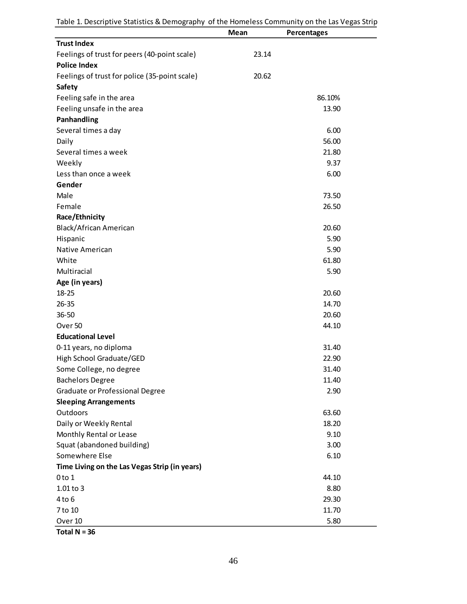| Table 1. Descriptive Statistics & Demography of the Homeless Community on the Las Vegas Strip |  |  |  |
|-----------------------------------------------------------------------------------------------|--|--|--|
|-----------------------------------------------------------------------------------------------|--|--|--|

|                                                                     | Mean  | <b>Percentages</b> |
|---------------------------------------------------------------------|-------|--------------------|
| <b>Trust Index</b>                                                  |       |                    |
| Feelings of trust for peers (40-point scale)<br><b>Police Index</b> | 23.14 |                    |
| Feelings of trust for police (35-point scale)                       | 20.62 |                    |
| <b>Safety</b>                                                       |       |                    |
| Feeling safe in the area                                            |       | 86.10%             |
| Feeling unsafe in the area                                          |       | 13.90              |
| Panhandling                                                         |       |                    |
| Several times a day                                                 |       | 6.00               |
| Daily                                                               |       | 56.00              |
| Several times a week                                                |       | 21.80              |
| Weekly                                                              |       | 9.37               |
| Less than once a week                                               |       | 6.00               |
| Gender                                                              |       |                    |
| Male                                                                |       | 73.50              |
| Female                                                              |       | 26.50              |
| Race/Ethnicity                                                      |       |                    |
| Black/African American                                              |       | 20.60              |
| Hispanic                                                            |       | 5.90               |
| Native American                                                     |       | 5.90               |
| White                                                               |       | 61.80              |
| Multiracial                                                         |       | 5.90               |
| Age (in years)                                                      |       |                    |
| $18 - 25$                                                           |       | 20.60              |
| $26 - 35$                                                           |       | 14.70              |
| $36 - 50$                                                           |       | 20.60              |
| Over 50                                                             |       | 44.10              |
| <b>Educational Level</b>                                            |       |                    |
| 0-11 years, no diploma                                              |       | 31.40              |
| High School Graduate/GED                                            |       | 22.90              |
| Some College, no degree                                             |       | 31.40              |
| <b>Bachelors Degree</b>                                             |       | 11.40              |
| Graduate or Professional Degree                                     |       | 2.90               |
| <b>Sleeping Arrangements</b>                                        |       |                    |
| Outdoors                                                            |       | 63.60              |
| Daily or Weekly Rental                                              |       | 18.20              |
| Monthly Rental or Lease                                             |       | 9.10               |
| Squat (abandoned building)                                          |       | 3.00               |
| Somewhere Else                                                      |       | 6.10               |
| Time Living on the Las Vegas Strip (in years)                       |       |                    |
| $0$ to $1$                                                          |       | 44.10              |
| 1.01 to 3                                                           |       | 8.80               |
| $4$ to $6$                                                          |       | 29.30              |
| 7 to 10                                                             |       | 11.70              |
| Over 10                                                             |       | 5.80               |

**Total N = 36**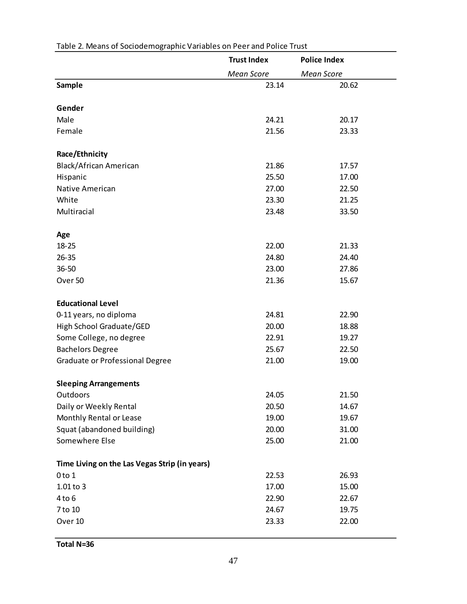|                                               | <b>Trust Index</b> | <b>Police Index</b> |  |
|-----------------------------------------------|--------------------|---------------------|--|
|                                               | <b>Mean Score</b>  | <b>Mean Score</b>   |  |
| <b>Sample</b>                                 | 23.14              | 20.62               |  |
|                                               |                    |                     |  |
| Gender                                        |                    |                     |  |
| Male                                          | 24.21              | 20.17               |  |
| Female                                        | 21.56              | 23.33               |  |
| Race/Ethnicity                                |                    |                     |  |
| Black/African American                        | 21.86              | 17.57               |  |
| Hispanic                                      | 25.50              | 17.00               |  |
| Native American                               | 27.00              | 22.50               |  |
| White                                         | 23.30              | 21.25               |  |
| Multiracial                                   | 23.48              | 33.50               |  |
| Age                                           |                    |                     |  |
| 18-25                                         | 22.00              | 21.33               |  |
| $26 - 35$                                     | 24.80              | 24.40               |  |
| 36-50                                         | 23.00              | 27.86               |  |
| Over 50                                       | 21.36              | 15.67               |  |
|                                               |                    |                     |  |
| <b>Educational Level</b>                      |                    |                     |  |
| 0-11 years, no diploma                        | 24.81              | 22.90               |  |
| High School Graduate/GED                      | 20.00              | 18.88               |  |
| Some College, no degree                       | 22.91              | 19.27               |  |
| <b>Bachelors Degree</b>                       | 25.67              | 22.50               |  |
| Graduate or Professional Degree               | 21.00              | 19.00               |  |
| <b>Sleeping Arrangements</b>                  |                    |                     |  |
| Outdoors                                      | 24.05              | 21.50               |  |
| Daily or Weekly Rental                        | 20.50              | 14.67               |  |
| Monthly Rental or Lease                       | 19.00              | 19.67               |  |
| Squat (abandoned building)                    | 20.00              | 31.00               |  |
| Somewhere Else                                | 25.00              | 21.00               |  |
|                                               |                    |                     |  |
| Time Living on the Las Vegas Strip (in years) |                    |                     |  |
| $0$ to $1$                                    | 22.53              | 26.93               |  |
| $1.01$ to 3                                   | 17.00              | 15.00               |  |
| $4$ to $6$                                    | 22.90              | 22.67               |  |
| 7 to 10                                       | 24.67              | 19.75               |  |
| Over 10                                       | 23.33              | 22.00               |  |

## Table 2. Means of Sociodemographic Variables on Peer and Police Trust

**Total N=36**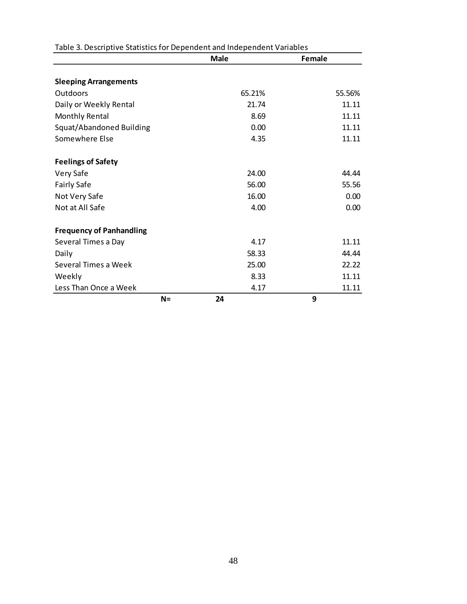|                                 | <b>Male</b> | <b>Female</b> |
|---------------------------------|-------------|---------------|
|                                 |             |               |
| <b>Sleeping Arrangements</b>    |             |               |
| Outdoors                        | 65.21%      | 55.56%        |
| Daily or Weekly Rental          | 21.74       | 11.11         |
| Monthly Rental                  | 8.69        | 11.11         |
| Squat/Abandoned Building        | 0.00        | 11.11         |
| Somewhere Else                  | 4.35        | 11.11         |
| <b>Feelings of Safety</b>       |             |               |
| Very Safe                       | 24.00       | 44.44         |
| <b>Fairly Safe</b>              | 56.00       | 55.56         |
| Not Very Safe                   | 16.00       | 0.00          |
| Not at All Safe                 | 4.00        | 0.00          |
| <b>Frequency of Panhandling</b> |             |               |
| Several Times a Day             | 4.17        | 11.11         |
| Daily                           | 58.33       | 44.44         |
| Several Times a Week            | 25.00       | 22.22         |
| Weekly                          | 8.33        | 11.11         |
| Less Than Once a Week           | 4.17        | 11.11         |
| $N =$                           | 24          | 9             |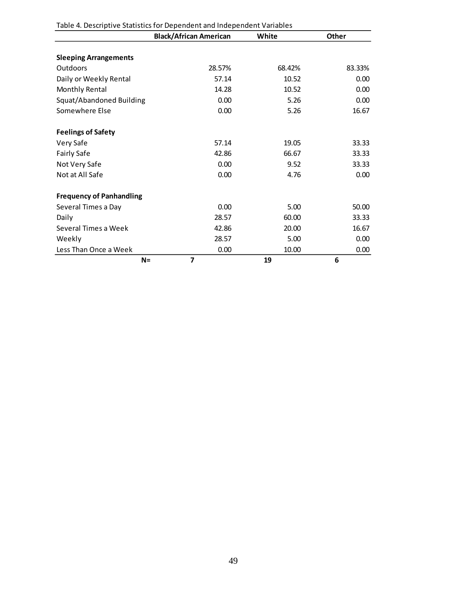|                                 | <b>Black/African American</b> | White  | Other  |
|---------------------------------|-------------------------------|--------|--------|
| <b>Sleeping Arrangements</b>    |                               |        |        |
| Outdoors                        | 28.57%                        | 68.42% | 83.33% |
| Daily or Weekly Rental          | 57.14                         | 10.52  | 0.00   |
| Monthly Rental                  | 14.28                         | 10.52  | 0.00   |
| Squat/Abandoned Building        | 0.00                          | 5.26   | 0.00   |
| Somewhere Else                  | 0.00                          | 5.26   | 16.67  |
| <b>Feelings of Safety</b>       |                               |        |        |
| Very Safe                       | 57.14                         | 19.05  | 33.33  |
| <b>Fairly Safe</b>              | 42.86                         | 66.67  | 33.33  |
| Not Very Safe                   | 0.00                          | 9.52   | 33.33  |
| Not at All Safe                 | 0.00                          | 4.76   | 0.00   |
| <b>Frequency of Panhandling</b> |                               |        |        |
| Several Times a Day             | 0.00                          | 5.00   | 50.00  |
| Daily                           | 28.57                         | 60.00  | 33.33  |
| Several Times a Week            | 42.86                         | 20.00  | 16.67  |
| Weekly                          | 28.57                         | 5.00   | 0.00   |
| Less Than Once a Week           | 0.00                          | 10.00  | 0.00   |
| $N =$                           | 7                             | 19     | 6      |

Table 4. Descriptive Statistics for Dependent and Independent Variables